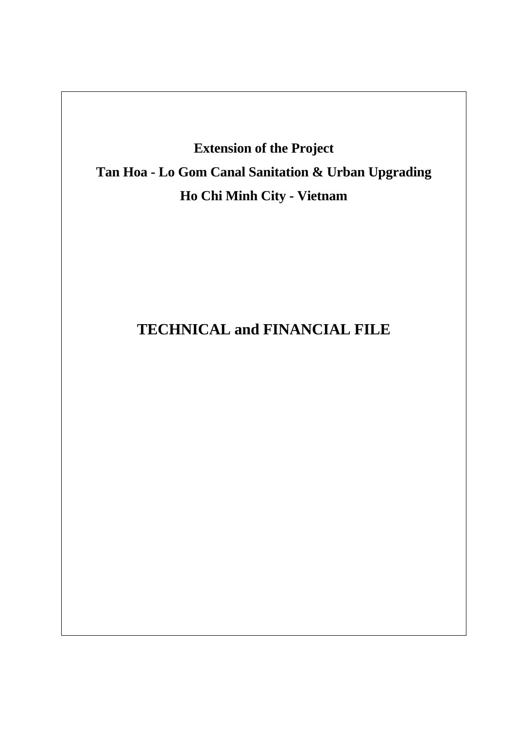# **Extension of the Project Tan Hoa - Lo Gom Canal Sanitation & Urban Upgrading Ho Chi Minh City - Vietnam**

# **TECHNICAL and FINANCIAL FILE**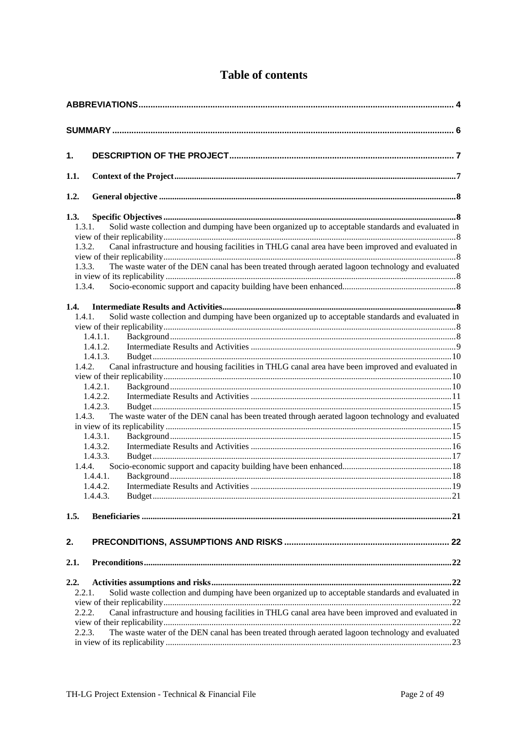| 1.                                           |                                                                                                                                                                                                                                                                                                                                                                                                                                                                    |  |
|----------------------------------------------|--------------------------------------------------------------------------------------------------------------------------------------------------------------------------------------------------------------------------------------------------------------------------------------------------------------------------------------------------------------------------------------------------------------------------------------------------------------------|--|
| 1.1.                                         |                                                                                                                                                                                                                                                                                                                                                                                                                                                                    |  |
| 1.2.                                         |                                                                                                                                                                                                                                                                                                                                                                                                                                                                    |  |
| 1.3.<br>1.3.1.<br>1.3.2.<br>1.3.3.<br>1.3.4. | Solid waste collection and dumping have been organized up to acceptable standards and evaluated in<br>Canal infrastructure and housing facilities in THLG canal area have been improved and evaluated in<br>The waste water of the DEN canal has been treated through aerated lagoon technology and evaluated                                                                                                                                                      |  |
| 1.4.<br>1.4.1.<br>1.4.3.                     | Solid waste collection and dumping have been organized up to acceptable standards and evaluated in<br>1.4.1.1.<br>1.4.1.2.<br>1.4.1.3.<br>1.4.2. Canal infrastructure and housing facilities in THLG canal area have been improved and evaluated in<br>1.4.2.1.<br>1.4.2.2.<br>1.4.2.3.<br>The waste water of the DEN canal has been treated through aerated lagoon technology and evaluated<br>1.4.3.1.<br>1.4.3.2.<br>1.4.3.3.<br>1.4.4.<br>1.4.4.1.<br>1.4.4.3. |  |
| 1.5.<br>2.                                   |                                                                                                                                                                                                                                                                                                                                                                                                                                                                    |  |
| 2.1.<br>2.2.<br>2.2.1.<br>2.2.2.<br>2.2.3.   | Solid waste collection and dumping have been organized up to acceptable standards and evaluated in<br>Canal infrastructure and housing facilities in THLG canal area have been improved and evaluated in<br>The waste water of the DEN canal has been treated through aerated lagoon technology and evaluated                                                                                                                                                      |  |

# **Table of contents**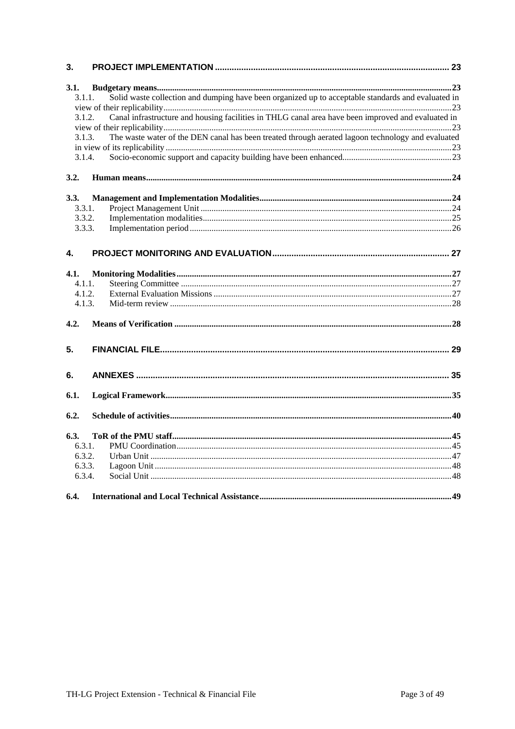| 3.           |                                                                                                    |  |
|--------------|----------------------------------------------------------------------------------------------------|--|
| 3.1.         |                                                                                                    |  |
| 3.1.1.       | Solid waste collection and dumping have been organized up to acceptable standards and evaluated in |  |
|              |                                                                                                    |  |
| 3.1.2.       | Canal infrastructure and housing facilities in THLG canal area have been improved and evaluated in |  |
|              |                                                                                                    |  |
| 3.1.3.       | The waste water of the DEN canal has been treated through aerated lagoon technology and evaluated  |  |
|              |                                                                                                    |  |
| 3.1.4.       |                                                                                                    |  |
| 3.2.         |                                                                                                    |  |
| 3.3.         |                                                                                                    |  |
| 3.3.1.       |                                                                                                    |  |
| 3.3.2.       |                                                                                                    |  |
| 3.3.3.       |                                                                                                    |  |
|              |                                                                                                    |  |
| $\mathbf{4}$ |                                                                                                    |  |
| 4.1.         |                                                                                                    |  |
| 4.1.1.       |                                                                                                    |  |
| 4.1.2.       |                                                                                                    |  |
| 4.1.3.       |                                                                                                    |  |
| 4.2.         |                                                                                                    |  |
| 5.           |                                                                                                    |  |
|              |                                                                                                    |  |
| 6.           |                                                                                                    |  |
| 6.1.         |                                                                                                    |  |
|              |                                                                                                    |  |
| 6.2.         |                                                                                                    |  |
| 6.3.         |                                                                                                    |  |
| 6.3.1.       |                                                                                                    |  |
| 6.3.2.       |                                                                                                    |  |
| 6.3.3.       |                                                                                                    |  |
| 6.3.4.       |                                                                                                    |  |
| 6.4.         |                                                                                                    |  |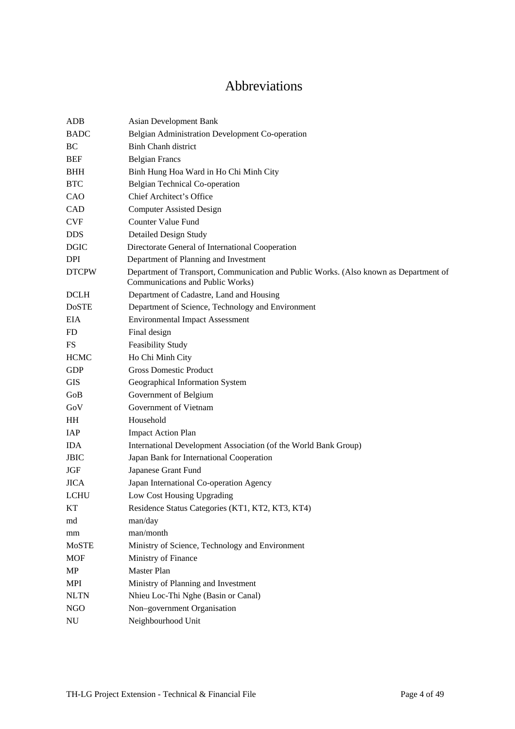# Abbreviations

<span id="page-3-0"></span>

| ADB           | <b>Asian Development Bank</b>                                                                                             |
|---------------|---------------------------------------------------------------------------------------------------------------------------|
| <b>BADC</b>   | Belgian Administration Development Co-operation                                                                           |
| BC            | <b>Binh Chanh district</b>                                                                                                |
| BEF           | <b>Belgian Francs</b>                                                                                                     |
| <b>BHH</b>    | Binh Hung Hoa Ward in Ho Chi Minh City                                                                                    |
| <b>BTC</b>    | Belgian Technical Co-operation                                                                                            |
| CAO           | Chief Architect's Office                                                                                                  |
| <b>CAD</b>    | <b>Computer Assisted Design</b>                                                                                           |
| <b>CVF</b>    | <b>Counter Value Fund</b>                                                                                                 |
| <b>DDS</b>    | <b>Detailed Design Study</b>                                                                                              |
| <b>DGIC</b>   | Directorate General of International Cooperation                                                                          |
| DPI           | Department of Planning and Investment                                                                                     |
| <b>DTCPW</b>  | Department of Transport, Communication and Public Works. (Also known as Department of<br>Communications and Public Works) |
| <b>DCLH</b>   | Department of Cadastre, Land and Housing                                                                                  |
| <b>DoSTE</b>  | Department of Science, Technology and Environment                                                                         |
| EIA.          | <b>Environmental Impact Assessment</b>                                                                                    |
| <b>FD</b>     | Final design                                                                                                              |
| <b>FS</b>     | Feasibility Study                                                                                                         |
| <b>HCMC</b>   | Ho Chi Minh City                                                                                                          |
| <b>GDP</b>    | <b>Gross Domestic Product</b>                                                                                             |
| <b>GIS</b>    | Geographical Information System                                                                                           |
| GoB           | Government of Belgium                                                                                                     |
| GoV           | Government of Vietnam                                                                                                     |
| HH            | Household                                                                                                                 |
| IAP           | <b>Impact Action Plan</b>                                                                                                 |
| <b>IDA</b>    | International Development Association (of the World Bank Group)                                                           |
| <b>JBIC</b>   | Japan Bank for International Cooperation                                                                                  |
| JGF           | Japanese Grant Fund                                                                                                       |
| <b>JICA</b>   | Japan International Co-operation Agency                                                                                   |
| <b>LCHU</b>   | Low Cost Housing Upgrading                                                                                                |
| KТ            | Residence Status Categories (KT1, KT2, KT3, KT4)                                                                          |
| md            | man/day                                                                                                                   |
| mm            | man/month                                                                                                                 |
| MoSTE         | Ministry of Science, Technology and Environment                                                                           |
| <b>MOF</b>    | Ministry of Finance                                                                                                       |
| MP            | Master Plan                                                                                                               |
| MPI           | Ministry of Planning and Investment                                                                                       |
| $\text{NLTN}$ | Nhieu Loc-Thi Nghe (Basin or Canal)                                                                                       |
| NGO           | Non-government Organisation                                                                                               |
| ${\rm NU}$    | Neighbourhood Unit                                                                                                        |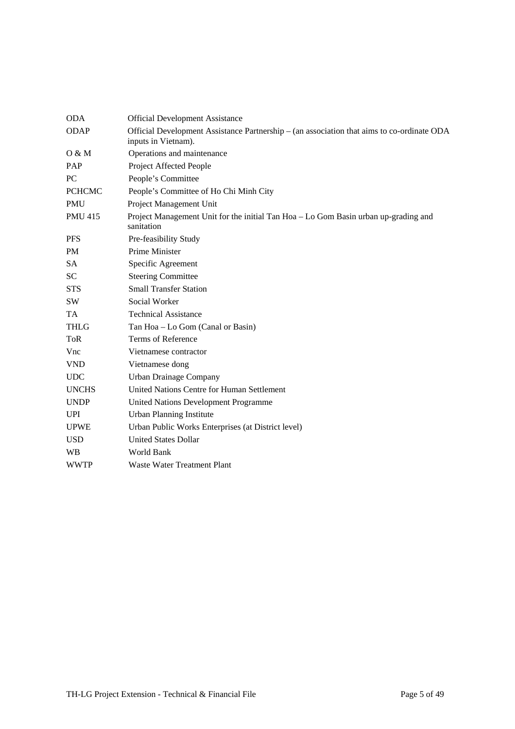| <b>ODA</b>     | <b>Official Development Assistance</b>                                                                            |
|----------------|-------------------------------------------------------------------------------------------------------------------|
| <b>ODAP</b>    | Official Development Assistance Partnership - (an association that aims to co-ordinate ODA<br>inputs in Vietnam). |
| O & M          | Operations and maintenance                                                                                        |
| PAP            | Project Affected People                                                                                           |
| PC             | People's Committee                                                                                                |
| <b>PCHCMC</b>  | People's Committee of Ho Chi Minh City                                                                            |
| <b>PMU</b>     | Project Management Unit                                                                                           |
| <b>PMU 415</b> | Project Management Unit for the initial Tan Hoa - Lo Gom Basin urban up-grading and<br>sanitation                 |
| <b>PFS</b>     | Pre-feasibility Study                                                                                             |
| PM             | Prime Minister                                                                                                    |
| <b>SA</b>      | Specific Agreement                                                                                                |
| SC.            | <b>Steering Committee</b>                                                                                         |
| <b>STS</b>     | <b>Small Transfer Station</b>                                                                                     |
| SW             | Social Worker                                                                                                     |
| <b>TA</b>      | <b>Technical Assistance</b>                                                                                       |
| <b>THLG</b>    | Tan Hoa - Lo Gom (Canal or Basin)                                                                                 |
| <b>ToR</b>     | Terms of Reference                                                                                                |
| Vnc            | Vietnamese contractor                                                                                             |
| <b>VND</b>     | Vietnamese dong                                                                                                   |
| <b>UDC</b>     | Urban Drainage Company                                                                                            |
| <b>UNCHS</b>   | United Nations Centre for Human Settlement                                                                        |
| <b>UNDP</b>    | <b>United Nations Development Programme</b>                                                                       |
| <b>UPI</b>     | <b>Urban Planning Institute</b>                                                                                   |
| <b>UPWE</b>    | Urban Public Works Enterprises (at District level)                                                                |
| <b>USD</b>     | <b>United States Dollar</b>                                                                                       |
| <b>WB</b>      | World Bank                                                                                                        |
| <b>WWTP</b>    | Waste Water Treatment Plant                                                                                       |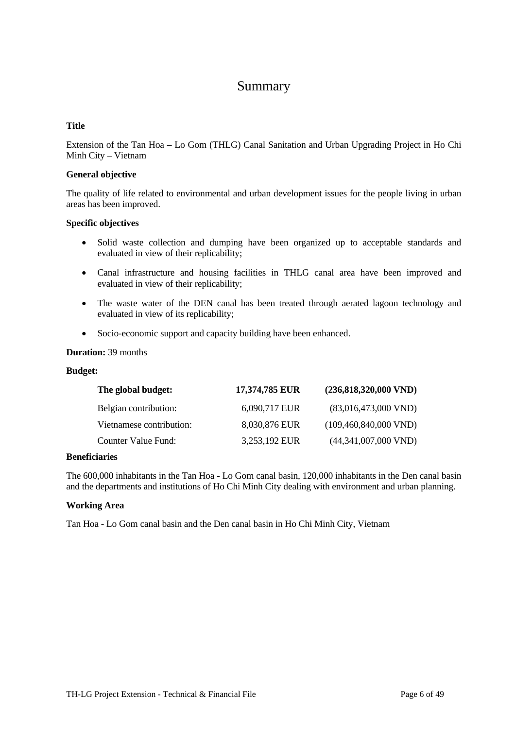# Summary

#### <span id="page-5-0"></span>**Title**

Extension of the Tan Hoa – Lo Gom (THLG) Canal Sanitation and Urban Upgrading Project in Ho Chi Minh City – Vietnam

#### **General objective**

The quality of life related to environmental and urban development issues for the people living in urban areas has been improved.

#### **Specific objectives**

- Solid waste collection and dumping have been organized up to acceptable standards and evaluated in view of their replicability;
- Canal infrastructure and housing facilities in THLG canal area have been improved and evaluated in view of their replicability;
- The waste water of the DEN canal has been treated through aerated lagoon technology and evaluated in view of its replicability;
- Socio-economic support and capacity building have been enhanced.

#### **Duration:** 39 months

#### **Budget:**

| The global budget:       | 17,374,785 EUR | $(236,818,320,000$ VND)    |
|--------------------------|----------------|----------------------------|
| Belgian contribution:    | 6,090,717 EUR  | $(83,016,473,000$ VND)     |
| Vietnamese contribution: | 8,030,876 EUR  | $(109, 460, 840, 000$ VND) |
| Counter Value Fund:      | 3,253,192 EUR  | $(44,341,007,000$ VND)     |

#### **Beneficiaries**

The 600,000 inhabitants in the Tan Hoa - Lo Gom canal basin, 120,000 inhabitants in the Den canal basin and the departments and institutions of Ho Chi Minh City dealing with environment and urban planning.

#### **Working Area**

Tan Hoa - Lo Gom canal basin and the Den canal basin in Ho Chi Minh City, Vietnam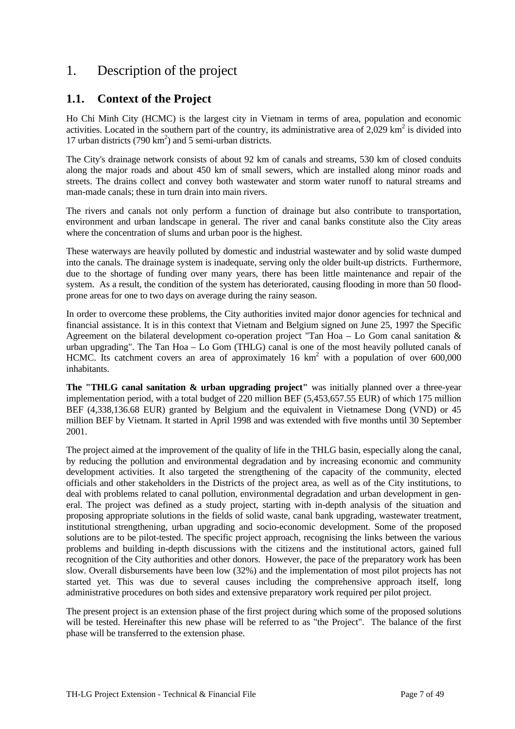# <span id="page-6-0"></span>1. Description of the project

# **1.1. Context of the Project**

Ho Chi Minh City (HCMC) is the largest city in Vietnam in terms of area, population and economic activities. Located in the southern part of the country, its administrative area of  $2,029$  km<sup>2</sup> is divided into 17 urban districts (790  $km^2$ ) and 5 semi-urban districts.

The City's drainage network consists of about 92 km of canals and streams, 530 km of closed conduits along the major roads and about 450 km of small sewers, which are installed along minor roads and streets. The drains collect and convey both wastewater and storm water runoff to natural streams and man-made canals; these in turn drain into main rivers.

The rivers and canals not only perform a function of drainage but also contribute to transportation, environment and urban landscape in general. The river and canal banks constitute also the City areas where the concentration of slums and urban poor is the highest.

These waterways are heavily polluted by domestic and industrial wastewater and by solid waste dumped into the canals. The drainage system is inadequate, serving only the older built-up districts. Furthermore, due to the shortage of funding over many years, there has been little maintenance and repair of the system. As a result, the condition of the system has deteriorated, causing flooding in more than 50 floodprone areas for one to two days on average during the rainy season.

In order to overcome these problems, the City authorities invited major donor agencies for technical and financial assistance. It is in this context that Vietnam and Belgium signed on June 25, 1997 the Specific Agreement on the bilateral development co-operation project "Tan Hoa – Lo Gom canal sanitation & urban upgrading". The Tan Hoa – Lo Gom (THLG) canal is one of the most heavily polluted canals of HCMC. Its catchment covers an area of approximately 16  $km<sup>2</sup>$  with a population of over 600,000 inhabitants.

**The "THLG canal sanitation & urban upgrading project"** was initially planned over a three-year implementation period, with a total budget of 220 million BEF (5,453,657.55 EUR) of which 175 million BEF (4,338,136.68 EUR) granted by Belgium and the equivalent in Vietnamese Dong (VND) or 45 million BEF by Vietnam. It started in April 1998 and was extended with five months until 30 September 2001.

The project aimed at the improvement of the quality of life in the THLG basin, especially along the canal, by reducing the pollution and environmental degradation and by increasing economic and community development activities. It also targeted the strengthening of the capacity of the community, elected officials and other stakeholders in the Districts of the project area, as well as of the City institutions, to deal with problems related to canal pollution, environmental degradation and urban development in general. The project was defined as a study project, starting with in-depth analysis of the situation and proposing appropriate solutions in the fields of solid waste, canal bank upgrading, wastewater treatment, institutional strengthening, urban upgrading and socio-economic development. Some of the proposed solutions are to be pilot-tested. The specific project approach, recognising the links between the various problems and building in-depth discussions with the citizens and the institutional actors, gained full recognition of the City authorities and other donors. However, the pace of the preparatory work has been slow. Overall disbursements have been low (32%) and the implementation of most pilot projects has not started yet. This was due to several causes including the comprehensive approach itself, long administrative procedures on both sides and extensive preparatory work required per pilot project.

The present project is an extension phase of the first project during which some of the proposed solutions will be tested. Hereinafter this new phase will be referred to as "the Project". The balance of the first phase will be transferred to the extension phase.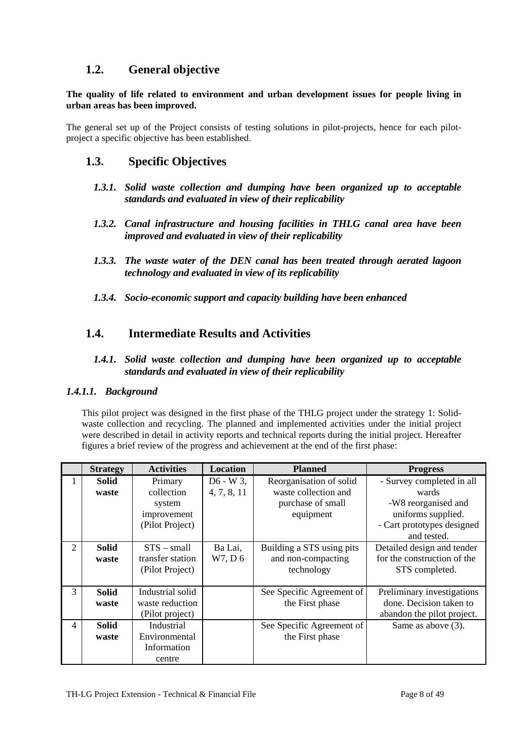## <span id="page-7-0"></span>**1.2. General objective**

**The quality of life related to environment and urban development issues for people living in urban areas has been improved.** 

The general set up of the Project consists of testing solutions in pilot-projects, hence for each pilotproject a specific objective has been established.

## **1.3. Specific Objectives**

- *1.3.1. Solid waste collection and dumping have been organized up to acceptable standards and evaluated in view of their replicability*
- *1.3.2. Canal infrastructure and housing facilities in THLG canal area have been improved and evaluated in view of their replicability*
- *1.3.3. The waste water of the DEN canal has been treated through aerated lagoon technology and evaluated in view of its replicability*
- *1.3.4. Socio-economic support and capacity building have been enhanced*

# **1.4. Intermediate Results and Activities**

#### *1.4.1. Solid waste collection and dumping have been organized up to acceptable standards and evaluated in view of their replicability*

#### *1.4.1.1. Background*

This pilot project was designed in the first phase of the THLG project under the strategy 1: Solidwaste collection and recycling. The planned and implemented activities under the initial project were described in detail in activity reports and technical reports during the initial project. Hereafter figures a brief review of the progress and achievement at the end of the first phase:

|                | <b>Strategy</b>            | <b>Activities</b> | Location    | <b>Planned</b>            | <b>Progress</b>             |
|----------------|----------------------------|-------------------|-------------|---------------------------|-----------------------------|
|                | <b>Solid</b>               | Primary           | $D6 - W3$ , | Reorganisation of solid   | - Survey completed in all   |
|                | waste                      | collection        | 4, 7, 8, 11 | waste collection and      | wards                       |
|                |                            | system            |             | purchase of small         | -W8 reorganised and         |
|                |                            | improvement       |             | equipment                 | uniforms supplied.          |
|                |                            | (Pilot Project)   |             |                           | - Cart prototypes designed  |
|                |                            |                   |             |                           | and tested.                 |
| $\overline{2}$ | <b>Solid</b>               | $STS - small$     | Ba Lai,     | Building a STS using pits | Detailed design and tender  |
|                | waste                      | transfer station  | W7, D 6     | and non-compacting        | for the construction of the |
|                |                            | (Pilot Project)   |             | technology                | STS completed.              |
|                |                            |                   |             |                           |                             |
| 3              | <b>Solid</b>               | Industrial solid  |             | See Specific Agreement of | Preliminary investigations  |
|                | waste                      | waste reduction   |             | the First phase           | done. Decision taken to     |
|                |                            | (Pilot project)   |             |                           | abandon the pilot project.  |
| 4              | Industrial<br><b>Solid</b> |                   |             | See Specific Agreement of | Same as above (3).          |
|                | waste                      | Environmental     |             | the First phase           |                             |
|                |                            | Information       |             |                           |                             |
|                |                            | centre            |             |                           |                             |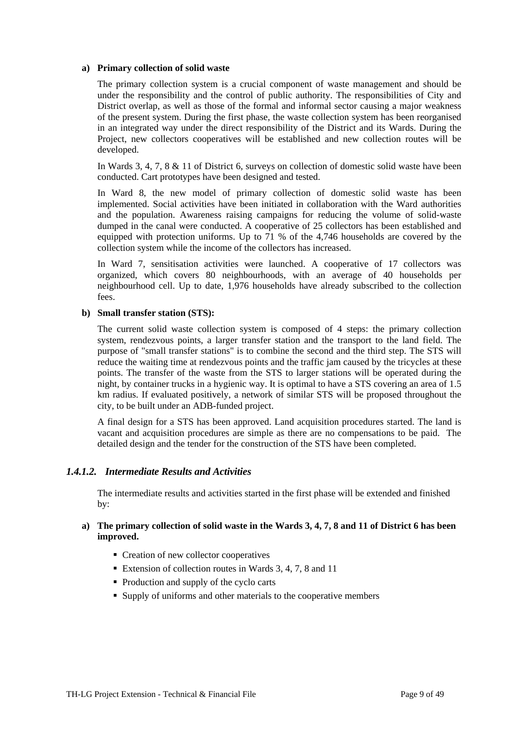#### <span id="page-8-0"></span>**a) Primary collection of solid waste**

The primary collection system is a crucial component of waste management and should be under the responsibility and the control of public authority. The responsibilities of City and District overlap, as well as those of the formal and informal sector causing a major weakness of the present system. During the first phase, the waste collection system has been reorganised in an integrated way under the direct responsibility of the District and its Wards. During the Project, new collectors cooperatives will be established and new collection routes will be developed.

In Wards 3, 4, 7, 8 & 11 of District 6, surveys on collection of domestic solid waste have been conducted. Cart prototypes have been designed and tested.

In Ward 8, the new model of primary collection of domestic solid waste has been implemented. Social activities have been initiated in collaboration with the Ward authorities and the population. Awareness raising campaigns for reducing the volume of solid-waste dumped in the canal were conducted. A cooperative of 25 collectors has been established and equipped with protection uniforms. Up to 71 % of the 4,746 households are covered by the collection system while the income of the collectors has increased.

In Ward 7, sensitisation activities were launched. A cooperative of 17 collectors was organized, which covers 80 neighbourhoods, with an average of 40 households per neighbourhood cell. Up to date, 1,976 households have already subscribed to the collection fees.

#### **b) Small transfer station (STS):**

The current solid waste collection system is composed of 4 steps: the primary collection system, rendezvous points, a larger transfer station and the transport to the land field. The purpose of "small transfer stations" is to combine the second and the third step. The STS will reduce the waiting time at rendezvous points and the traffic jam caused by the tricycles at these points. The transfer of the waste from the STS to larger stations will be operated during the night, by container trucks in a hygienic way. It is optimal to have a STS covering an area of 1.5 km radius. If evaluated positively, a network of similar STS will be proposed throughout the city, to be built under an ADB-funded project.

A final design for a STS has been approved. Land acquisition procedures started. The land is vacant and acquisition procedures are simple as there are no compensations to be paid. The detailed design and the tender for the construction of the STS have been completed.

#### *1.4.1.2. Intermediate Results and Activities*

The intermediate results and activities started in the first phase will be extended and finished by:

#### **a) The primary collection of solid waste in the Wards 3, 4, 7, 8 and 11 of District 6 has been improved.**

- Creation of new collector cooperatives
- Extension of collection routes in Wards 3, 4, 7, 8 and 11
- Production and supply of the cyclo carts
- Supply of uniforms and other materials to the cooperative members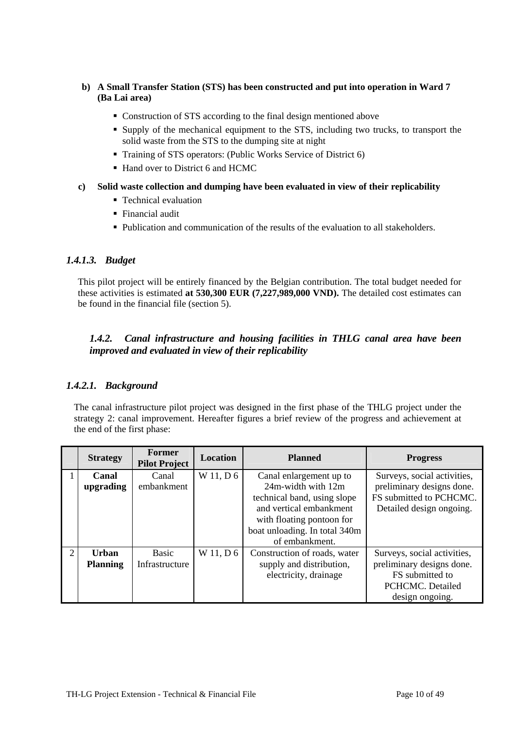- <span id="page-9-0"></span>**b) A Small Transfer Station (STS) has been constructed and put into operation in Ward 7 (Ba Lai area)** 
	- Construction of STS according to the final design mentioned above
	- Supply of the mechanical equipment to the STS, including two trucks, to transport the solid waste from the STS to the dumping site at night
	- Training of STS operators: (Public Works Service of District 6)
	- Hand over to District 6 and HCMC
- **c) Solid waste collection and dumping have been evaluated in view of their replicability** 
	- Technical evaluation
	- Financial audit
	- Publication and communication of the results of the evaluation to all stakeholders.

#### *1.4.1.3. Budget*

This pilot project will be entirely financed by the Belgian contribution. The total budget needed for these activities is estimated **at 530,300 EUR (7,227,989,000 VND).** The detailed cost estimates can be found in the financial file (section 5).

#### *1.4.2. Canal infrastructure and housing facilities in THLG canal area have been improved and evaluated in view of their replicability*

#### *1.4.2.1. Background*

The canal infrastructure pilot project was designed in the first phase of the THLG project under the strategy 2: canal improvement. Hereafter figures a brief review of the progress and achievement at the end of the first phase:

|                | <b>Strategy</b> | Former<br><b>Pilot Project</b> | <b>Location</b> | <b>Planned</b>                | <b>Progress</b>             |
|----------------|-----------------|--------------------------------|-----------------|-------------------------------|-----------------------------|
|                | Canal           | Canal                          | W 11, D 6       | Canal enlargement up to       | Surveys, social activities, |
|                | upgrading       | embankment                     |                 | $24m$ -width with $12m$       | preliminary designs done.   |
|                |                 |                                |                 | technical band, using slope   | FS submitted to PCHCMC.     |
|                |                 |                                |                 | and vertical embankment       | Detailed design ongoing.    |
|                |                 |                                |                 | with floating pontoon for     |                             |
|                |                 |                                |                 | boat unloading. In total 340m |                             |
|                |                 |                                |                 | of embankment.                |                             |
| $\overline{2}$ | Urban           | Basic                          | W 11, D 6       | Construction of roads, water  | Surveys, social activities, |
|                | <b>Planning</b> | Infrastructure                 |                 | supply and distribution,      | preliminary designs done.   |
|                |                 |                                |                 | electricity, drainage         | FS submitted to             |
|                |                 |                                |                 |                               | PCHCMC. Detailed            |
|                |                 |                                |                 |                               | design ongoing.             |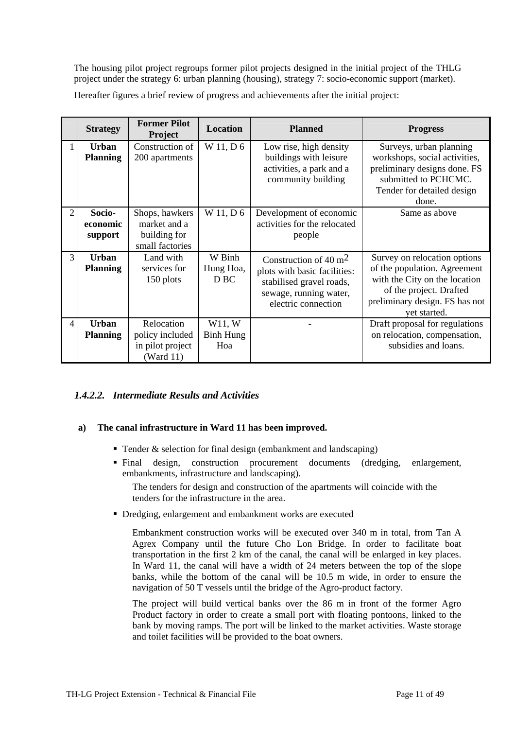<span id="page-10-0"></span>The housing pilot project regroups former pilot projects designed in the initial project of the THLG project under the strategy 6: urban planning (housing), strategy 7: socio-economic support (market).

Hereafter figures a brief review of progress and achievements after the initial project:

|                | <b>Strategy</b>                 | <b>Former Pilot</b><br><b>Project</b>                             | <b>Location</b>                        | <b>Planned</b>                                                                                                                       | <b>Progress</b>                                                                                                                                                            |
|----------------|---------------------------------|-------------------------------------------------------------------|----------------------------------------|--------------------------------------------------------------------------------------------------------------------------------------|----------------------------------------------------------------------------------------------------------------------------------------------------------------------------|
|                | <b>Urban</b><br><b>Planning</b> | Construction of<br>200 apartments                                 | W 11, D 6                              | Low rise, high density<br>buildings with leisure<br>activities, a park and a<br>community building                                   | Surveys, urban planning<br>workshops, social activities,<br>preliminary designs done. FS<br>submitted to PCHCMC.<br>Tender for detailed design<br>done.                    |
| 2              | Socio-<br>economic<br>support   | Shops, hawkers<br>market and a<br>building for<br>small factories | W 11, D 6                              | Development of economic<br>activities for the relocated<br>people                                                                    | Same as above                                                                                                                                                              |
| 3              | <b>Urban</b><br><b>Planning</b> | Land with<br>services for<br>150 plots                            | W Binh<br>Hung Hoa,<br>D <sub>BC</sub> | Construction of 40 $m2$<br>plots with basic facilities:<br>stabilised gravel roads,<br>sewage, running water,<br>electric connection | Survey on relocation options<br>of the population. Agreement<br>with the City on the location<br>of the project. Drafted<br>preliminary design. FS has not<br>yet started. |
| $\overline{4}$ | <b>Urban</b><br><b>Planning</b> | Relocation<br>policy included<br>in pilot project<br>( Ward 11)   | W11, W<br>Binh Hung<br>Hoa             |                                                                                                                                      | Draft proposal for regulations<br>on relocation, compensation,<br>subsidies and loans.                                                                                     |

### *1.4.2.2. Intermediate Results and Activities*

#### **a) The canal infrastructure in Ward 11 has been improved.**

- Tender  $&$  selection for final design (embankment and landscaping)
- Final design, construction procurement documents (dredging, enlargement, embankments, infrastructure and landscaping).

The tenders for design and construction of the apartments will coincide with the tenders for the infrastructure in the area.

Dredging, enlargement and embankment works are executed

Embankment construction works will be executed over 340 m in total, from Tan A Agrex Company until the future Cho Lon Bridge. In order to facilitate boat transportation in the first 2 km of the canal, the canal will be enlarged in key places. In Ward 11, the canal will have a width of 24 meters between the top of the slope banks, while the bottom of the canal will be 10.5 m wide, in order to ensure the navigation of 50 T vessels until the bridge of the Agro-product factory.

The project will build vertical banks over the 86 m in front of the former Agro Product factory in order to create a small port with floating pontoons, linked to the bank by moving ramps. The port will be linked to the market activities. Waste storage and toilet facilities will be provided to the boat owners.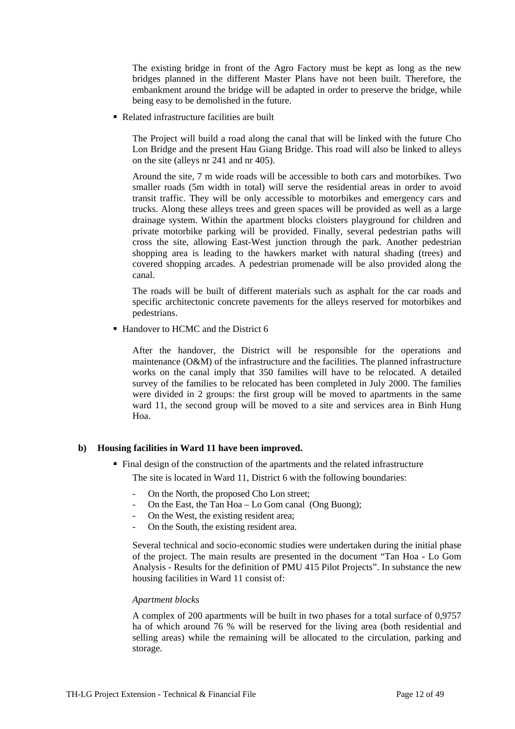The existing bridge in front of the Agro Factory must be kept as long as the new bridges planned in the different Master Plans have not been built. Therefore, the embankment around the bridge will be adapted in order to preserve the bridge, while being easy to be demolished in the future.

■ Related infrastructure facilities are built

The Project will build a road along the canal that will be linked with the future Cho Lon Bridge and the present Hau Giang Bridge. This road will also be linked to alleys on the site (alleys nr 241 and nr 405).

Around the site, 7 m wide roads will be accessible to both cars and motorbikes. Two smaller roads (5m width in total) will serve the residential areas in order to avoid transit traffic. They will be only accessible to motorbikes and emergency cars and trucks. Along these alleys trees and green spaces will be provided as well as a large drainage system. Within the apartment blocks cloisters playground for children and private motorbike parking will be provided. Finally, several pedestrian paths will cross the site, allowing East-West junction through the park. Another pedestrian shopping area is leading to the hawkers market with natural shading (trees) and covered shopping arcades. A pedestrian promenade will be also provided along the canal.

The roads will be built of different materials such as asphalt for the car roads and specific architectonic concrete pavements for the alleys reserved for motorbikes and pedestrians.

■ Handover to HCMC and the District 6

After the handover, the District will be responsible for the operations and maintenance (O&M) of the infrastructure and the facilities. The planned infrastructure works on the canal imply that 350 families will have to be relocated. A detailed survey of the families to be relocated has been completed in July 2000. The families were divided in 2 groups: the first group will be moved to apartments in the same ward 11, the second group will be moved to a site and services area in Binh Hung Hoa.

#### **b) Housing facilities in Ward 11 have been improved.**

• Final design of the construction of the apartments and the related infrastructure

The site is located in Ward 11, District 6 with the following boundaries:

- On the North, the proposed Cho Lon street;
- On the East, the Tan Hoa Lo Gom canal (Ong Buong);
- On the West, the existing resident area;
- On the South, the existing resident area.

Several technical and socio-economic studies were undertaken during the initial phase of the project. The main results are presented in the document "Tan Hoa - Lo Gom Analysis - Results for the definition of PMU 415 Pilot Projects". In substance the new housing facilities in Ward 11 consist of:

#### *Apartment blocks*

A complex of 200 apartments will be built in two phases for a total surface of 0,9757 ha of which around 76 % will be reserved for the living area (both residential and selling areas) while the remaining will be allocated to the circulation, parking and storage.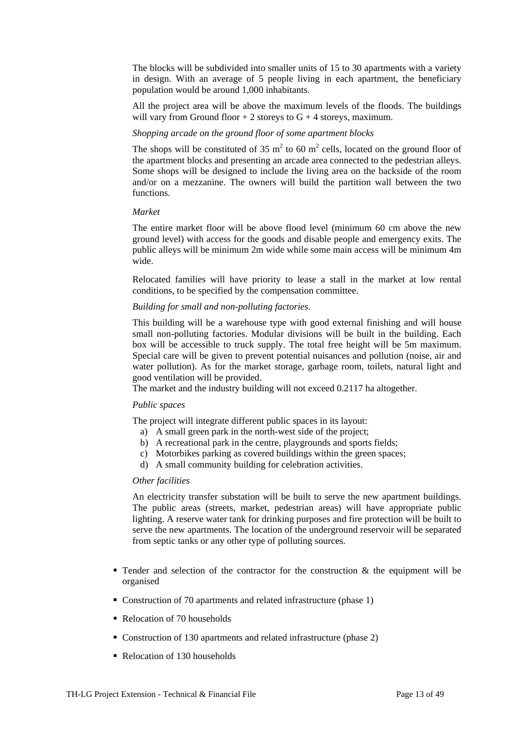The blocks will be subdivided into smaller units of 15 to 30 apartments with a variety in design. With an average of 5 people living in each apartment, the beneficiary population would be around 1,000 inhabitants.

All the project area will be above the maximum levels of the floods. The buildings will vary from Ground floor  $+ 2$  storeys to  $G + 4$  storeys, maximum.

#### *Shopping arcade on the ground floor of some apartment blocks*

The shops will be constituted of 35  $m^2$  to 60  $m^2$  cells, located on the ground floor of the apartment blocks and presenting an arcade area connected to the pedestrian alleys. Some shops will be designed to include the living area on the backside of the room and/or on a mezzanine. The owners will build the partition wall between the two functions.

#### *Market*

The entire market floor will be above flood level (minimum 60 cm above the new ground level) with access for the goods and disable people and emergency exits. The public alleys will be minimum 2m wide while some main access will be minimum 4m wide.

Relocated families will have priority to lease a stall in the market at low rental conditions, to be specified by the compensation committee.

#### *Building for small and non-polluting factories.*

This building will be a warehouse type with good external finishing and will house small non-polluting factories. Modular divisions will be built in the building. Each box will be accessible to truck supply. The total free height will be 5m maximum. Special care will be given to prevent potential nuisances and pollution (noise, air and water pollution). As for the market storage, garbage room, toilets, natural light and good ventilation will be provided.

The market and the industry building will not exceed 0.2117 ha altogether.

#### *Public spaces*

The project will integrate different public spaces in its layout:

- a) A small green park in the north-west side of the project;
- b) A recreational park in the centre, playgrounds and sports fields;
- c) Motorbikes parking as covered buildings within the green spaces;
- d) A small community building for celebration activities.

#### *Other facilities*

An electricity transfer substation will be built to serve the new apartment buildings. The public areas (streets, market, pedestrian areas) will have appropriate public lighting. A reserve water tank for drinking purposes and fire protection will be built to serve the new apartments. The location of the underground reservoir will be separated from septic tanks or any other type of polluting sources.

- Tender and selection of the contractor for the construction  $\&$  the equipment will be organised
- Construction of 70 apartments and related infrastructure (phase 1)
- Relocation of 70 households
- Construction of 130 apartments and related infrastructure (phase 2)
- Relocation of 130 households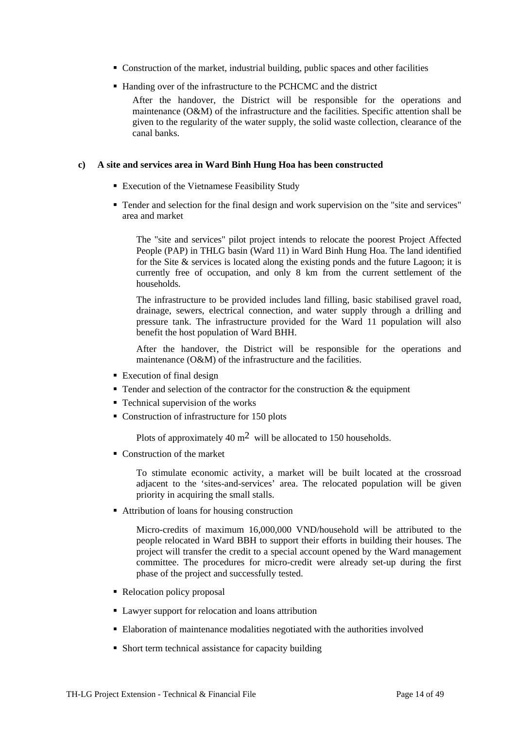- Construction of the market, industrial building, public spaces and other facilities
- Handing over of the infrastructure to the PCHCMC and the district

After the handover, the District will be responsible for the operations and maintenance (O&M) of the infrastructure and the facilities. Specific attention shall be given to the regularity of the water supply, the solid waste collection, clearance of the canal banks.

#### **c) A site and services area in Ward Binh Hung Hoa has been constructed**

- **Execution of the Vietnamese Feasibility Study**
- Tender and selection for the final design and work supervision on the "site and services" area and market

The "site and services" pilot project intends to relocate the poorest Project Affected People (PAP) in THLG basin (Ward 11) in Ward Binh Hung Hoa. The land identified for the Site & services is located along the existing ponds and the future Lagoon; it is currently free of occupation, and only 8 km from the current settlement of the households.

The infrastructure to be provided includes land filling, basic stabilised gravel road, drainage, sewers, electrical connection, and water supply through a drilling and pressure tank. The infrastructure provided for the Ward 11 population will also benefit the host population of Ward BHH.

After the handover, the District will be responsible for the operations and maintenance (O&M) of the infrastructure and the facilities.

- **Execution of final design**
- Tender and selection of the contractor for the construction  $\&$  the equipment
- Technical supervision of the works
- Construction of infrastructure for 150 plots

Plots of approximately 40  $m^2$  will be allocated to 150 households.

Construction of the market

To stimulate economic activity, a market will be built located at the crossroad adjacent to the 'sites-and-services' area. The relocated population will be given priority in acquiring the small stalls.

■ Attribution of loans for housing construction

Micro-credits of maximum 16,000,000 VND/household will be attributed to the people relocated in Ward BBH to support their efforts in building their houses. The project will transfer the credit to a special account opened by the Ward management committee. The procedures for micro-credit were already set-up during the first phase of the project and successfully tested.

- Relocation policy proposal
- Lawyer support for relocation and loans attribution
- Elaboration of maintenance modalities negotiated with the authorities involved
- Short term technical assistance for capacity building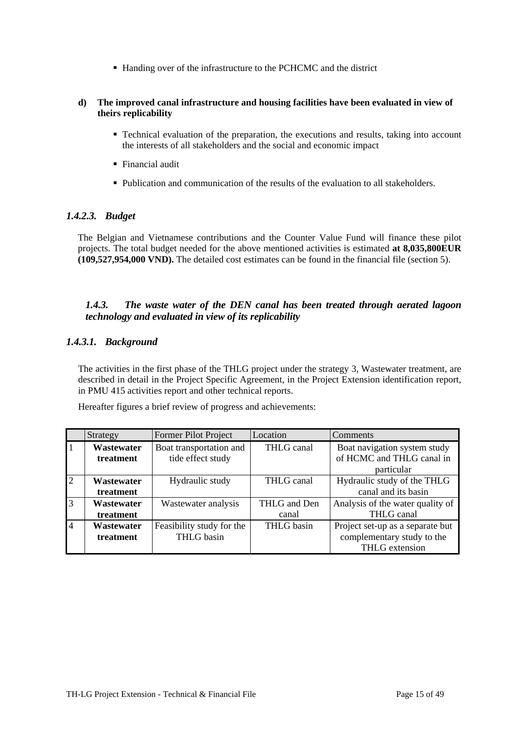■ Handing over of the infrastructure to the PCHCMC and the district

#### <span id="page-14-0"></span>**d) The improved canal infrastructure and housing facilities have been evaluated in view of theirs replicability**

- Technical evaluation of the preparation, the executions and results, taking into account the interests of all stakeholders and the social and economic impact
- Financial audit
- Publication and communication of the results of the evaluation to all stakeholders.

#### *1.4.2.3. Budget*

The Belgian and Vietnamese contributions and the Counter Value Fund will finance these pilot projects. The total budget needed for the above mentioned activities is estimated **at 8,035,800EUR (109,527,954,000 VND).** The detailed cost estimates can be found in the financial file (section 5).

#### *1.4.3. The waste water of the DEN canal has been treated through aerated lagoon technology and evaluated in view of its replicability*

#### *1.4.3.1. Background*

The activities in the first phase of the THLG project under the strategy 3, Wastewater treatment, are described in detail in the Project Specific Agreement, in the Project Extension identification report, in PMU 415 activities report and other technical reports.

Hereafter figures a brief review of progress and achievements:

|                | Strategy   | Former Pilot Project      | Location     | Comments                         |
|----------------|------------|---------------------------|--------------|----------------------------------|
| $\overline{1}$ | Wastewater | Boat transportation and   | THLG canal   | Boat navigation system study     |
|                | treatment  | tide effect study         |              | of HCMC and THLG canal in        |
|                |            |                           |              | particular                       |
| $\overline{2}$ | Wastewater | Hydraulic study           | THLG canal   | Hydraulic study of the THLG      |
|                | treatment  |                           |              | canal and its basin              |
| $\overline{3}$ | Wastewater | Wastewater analysis       | THLG and Den | Analysis of the water quality of |
|                | treatment  |                           | canal        | THLG canal                       |
| $\overline{4}$ | Wastewater | Feasibility study for the | THLG basin   | Project set-up as a separate but |
|                | treatment  | THLG basin                |              | complementary study to the       |
|                |            |                           |              | THLG extension                   |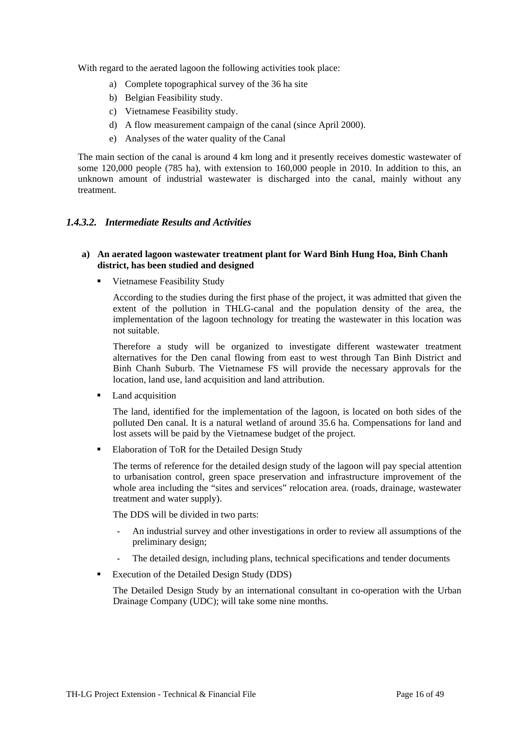<span id="page-15-0"></span>With regard to the aerated lagoon the following activities took place:

- a) Complete topographical survey of the 36 ha site
- b) Belgian Feasibility study.
- c) Vietnamese Feasibility study.
- d) A flow measurement campaign of the canal (since April 2000).
- e) Analyses of the water quality of the Canal

The main section of the canal is around 4 km long and it presently receives domestic wastewater of some 120,000 people (785 ha), with extension to 160,000 people in 2010. In addition to this, an unknown amount of industrial wastewater is discharged into the canal, mainly without any treatment.

#### *1.4.3.2. Intermediate Results and Activities*

#### **a) An aerated lagoon wastewater treatment plant for Ward Binh Hung Hoa, Binh Chanh district, has been studied and designed**

Vietnamese Feasibility Study

According to the studies during the first phase of the project, it was admitted that given the extent of the pollution in THLG-canal and the population density of the area, the implementation of the lagoon technology for treating the wastewater in this location was not suitable.

Therefore a study will be organized to investigate different wastewater treatment alternatives for the Den canal flowing from east to west through Tan Binh District and Binh Chanh Suburb. The Vietnamese FS will provide the necessary approvals for the location, land use, land acquisition and land attribution.

• Land acquisition

The land, identified for the implementation of the lagoon, is located on both sides of the polluted Den canal. It is a natural wetland of around 35.6 ha. Compensations for land and lost assets will be paid by the Vietnamese budget of the project.

**Elaboration of ToR for the Detailed Design Study** 

The terms of reference for the detailed design study of the lagoon will pay special attention to urbanisation control, green space preservation and infrastructure improvement of the whole area including the "sites and services" relocation area. (roads, drainage, wastewater treatment and water supply).

The DDS will be divided in two parts:

- An industrial survey and other investigations in order to review all assumptions of the preliminary design;
- The detailed design, including plans, technical specifications and tender documents
- **Execution of the Detailed Design Study (DDS)**

The Detailed Design Study by an international consultant in co-operation with the Urban Drainage Company (UDC); will take some nine months.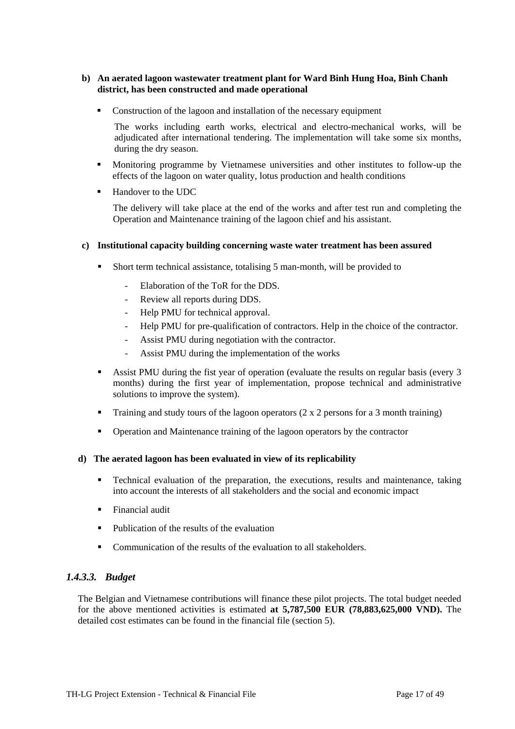#### <span id="page-16-0"></span>**b) An aerated lagoon wastewater treatment plant for Ward Binh Hung Hoa, Binh Chanh district, has been constructed and made operational**

• Construction of the lagoon and installation of the necessary equipment

The works including earth works, electrical and electro-mechanical works, will be adjudicated after international tendering. The implementation will take some six months, during the dry season.

- Monitoring programme by Vietnamese universities and other institutes to follow-up the effects of the lagoon on water quality, lotus production and health conditions
- Handover to the UDC

The delivery will take place at the end of the works and after test run and completing the Operation and Maintenance training of the lagoon chief and his assistant.

#### **c) Institutional capacity building concerning waste water treatment has been assured**

- Short term technical assistance, totalising 5 man-month, will be provided to
	- Elaboration of the ToR for the DDS.
	- Review all reports during DDS.
	- Help PMU for technical approval.
	- Help PMU for pre-qualification of contractors. Help in the choice of the contractor.
	- Assist PMU during negotiation with the contractor.
	- Assist PMU during the implementation of the works
- Assist PMU during the fist year of operation (evaluate the results on regular basis (every 3 months) during the first year of implementation, propose technical and administrative solutions to improve the system).
- **Training and study tours of the lagoon operators (2 x 2 persons for a 3 month training)**
- Operation and Maintenance training of the lagoon operators by the contractor

#### **d) The aerated lagoon has been evaluated in view of its replicability**

- **Technical evaluation of the preparation, the executions, results and maintenance, taking** into account the interests of all stakeholders and the social and economic impact
- **Financial audit**
- $\blacksquare$  Publication of the results of the evaluation
- Communication of the results of the evaluation to all stakeholders.

#### *1.4.3.3. Budget*

The Belgian and Vietnamese contributions will finance these pilot projects. The total budget needed for the above mentioned activities is estimated **at 5,787,500 EUR (78,883,625,000 VND).** The detailed cost estimates can be found in the financial file (section 5).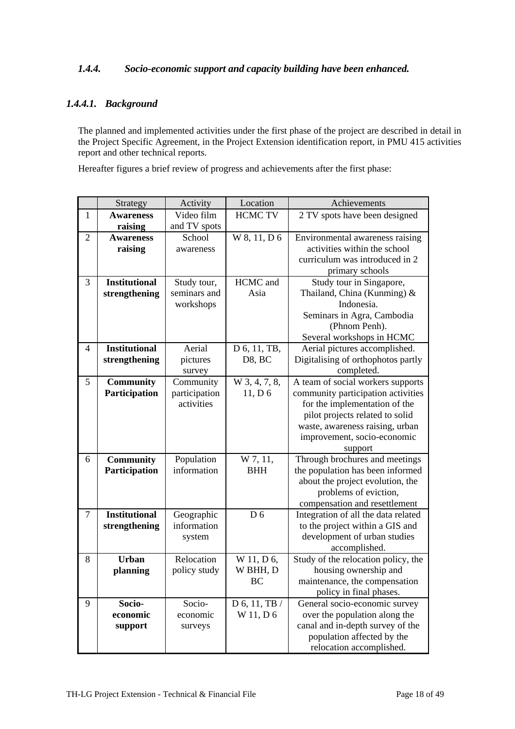### <span id="page-17-0"></span>*1.4.4. Socio-economic support and capacity building have been enhanced.*

### *1.4.4.1. Background*

The planned and implemented activities under the first phase of the project are described in detail in the Project Specific Agreement, in the Project Extension identification report, in PMU 415 activities report and other technical reports.

Hereafter figures a brief review of progress and achievements after the first phase:

| 2 TV spots have been designed                                |
|--------------------------------------------------------------|
|                                                              |
| Environmental awareness raising                              |
| activities within the school                                 |
| curriculum was introduced in 2                               |
| primary schools                                              |
| Study tour in Singapore,                                     |
| Thailand, China (Kunming) $\&$                               |
|                                                              |
| Seminars in Agra, Cambodia                                   |
| (Phnom Penh).                                                |
| Several workshops in HCMC                                    |
| Aerial pictures accomplished.                                |
| Digitalising of orthophotos partly                           |
|                                                              |
| A team of social workers supports                            |
| community participation activities                           |
| for the implementation of the                                |
| pilot projects related to solid                              |
| waste, awareness raising, urban                              |
| improvement, socio-economic                                  |
|                                                              |
| Through brochures and meetings                               |
| the population has been informed                             |
| about the project evolution, the                             |
| problems of eviction,                                        |
| compensation and resettlement                                |
| Integration of all the data related                          |
| to the project within a GIS and                              |
| development of urban studies                                 |
| accomplished.                                                |
| Study of the relocation policy, the<br>housing ownership and |
| maintenance, the compensation                                |
| policy in final phases.                                      |
| General socio-economic survey                                |
| over the population along the                                |
| canal and in-depth survey of the                             |
| population affected by the                                   |
| relocation accomplished.                                     |
|                                                              |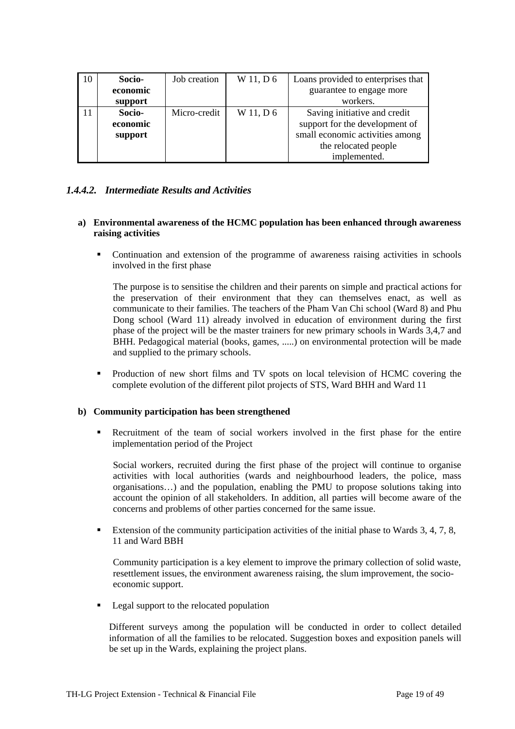<span id="page-18-0"></span>

| 10 | Socio-   | Job creation | W 11, D 6 | Loans provided to enterprises that |
|----|----------|--------------|-----------|------------------------------------|
|    | economic |              |           | guarantee to engage more           |
|    | support  |              |           | workers.                           |
|    | Socio-   | Micro-credit | W 11, D 6 | Saving initiative and credit       |
|    | economic |              |           | support for the development of     |
|    | support  |              |           | small economic activities among    |
|    |          |              |           | the relocated people               |
|    |          |              |           | implemented.                       |

#### *1.4.4.2. Intermediate Results and Activities*

#### **a) Environmental awareness of the HCMC population has been enhanced through awareness raising activities**

 Continuation and extension of the programme of awareness raising activities in schools involved in the first phase

The purpose is to sensitise the children and their parents on simple and practical actions for the preservation of their environment that they can themselves enact, as well as communicate to their families. The teachers of the Pham Van Chi school (Ward 8) and Phu Dong school (Ward 11) already involved in education of environment during the first phase of the project will be the master trainers for new primary schools in Wards 3,4,7 and BHH. Pedagogical material (books, games, .....) on environmental protection will be made and supplied to the primary schools.

 Production of new short films and TV spots on local television of HCMC covering the complete evolution of the different pilot projects of STS, Ward BHH and Ward 11

#### **b) Community participation has been strengthened**

 Recruitment of the team of social workers involved in the first phase for the entire implementation period of the Project

Social workers, recruited during the first phase of the project will continue to organise activities with local authorities (wards and neighbourhood leaders, the police, mass organisations…) and the population, enabling the PMU to propose solutions taking into account the opinion of all stakeholders. In addition, all parties will become aware of the concerns and problems of other parties concerned for the same issue.

 Extension of the community participation activities of the initial phase to Wards 3, 4, 7, 8, 11 and Ward BBH

Community participation is a key element to improve the primary collection of solid waste, resettlement issues, the environment awareness raising, the slum improvement, the socioeconomic support.

**Legal support to the relocated population** 

Different surveys among the population will be conducted in order to collect detailed information of all the families to be relocated. Suggestion boxes and exposition panels will be set up in the Wards, explaining the project plans.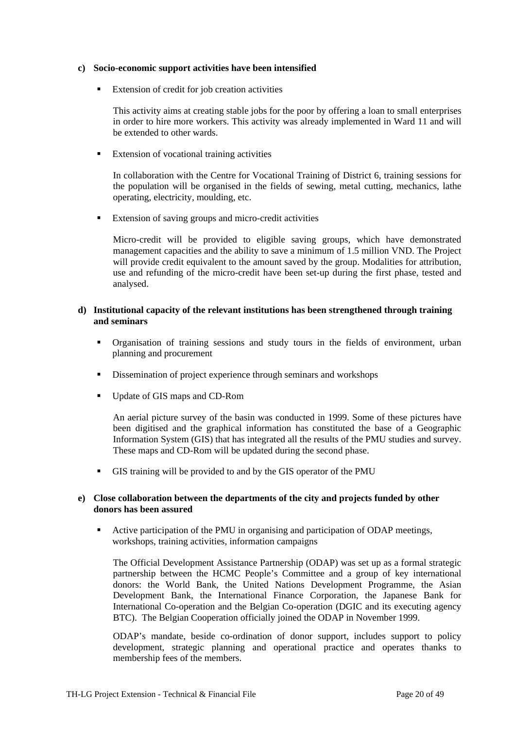#### **c) Socio-economic support activities have been intensified**

**Extension of credit for job creation activities** 

This activity aims at creating stable jobs for the poor by offering a loan to small enterprises in order to hire more workers. This activity was already implemented in Ward 11 and will be extended to other wards.

**Extension of vocational training activities** 

In collaboration with the Centre for Vocational Training of District 6, training sessions for the population will be organised in the fields of sewing, metal cutting, mechanics, lathe operating, electricity, moulding, etc.

**Extension of saving groups and micro-credit activities** 

Micro-credit will be provided to eligible saving groups, which have demonstrated management capacities and the ability to save a minimum of 1.5 million VND. The Project will provide credit equivalent to the amount saved by the group. Modalities for attribution, use and refunding of the micro-credit have been set-up during the first phase, tested and analysed.

#### **d) Institutional capacity of the relevant institutions has been strengthened through training and seminars**

- Organisation of training sessions and study tours in the fields of environment, urban planning and procurement
- Dissemination of project experience through seminars and workshops
- Update of GIS maps and CD-Rom

An aerial picture survey of the basin was conducted in 1999. Some of these pictures have been digitised and the graphical information has constituted the base of a Geographic Information System (GIS) that has integrated all the results of the PMU studies and survey. These maps and CD-Rom will be updated during the second phase.

GIS training will be provided to and by the GIS operator of the PMU

#### **e) Close collaboration between the departments of the city and projects funded by other donors has been assured**

 Active participation of the PMU in organising and participation of ODAP meetings, workshops, training activities, information campaigns

The Official Development Assistance Partnership (ODAP) was set up as a formal strategic partnership between the HCMC People's Committee and a group of key international donors: the World Bank, the United Nations Development Programme, the Asian Development Bank, the International Finance Corporation, the Japanese Bank for International Co-operation and the Belgian Co-operation (DGIC and its executing agency BTC). The Belgian Cooperation officially joined the ODAP in November 1999.

ODAP's mandate, beside co-ordination of donor support, includes support to policy development, strategic planning and operational practice and operates thanks to membership fees of the members.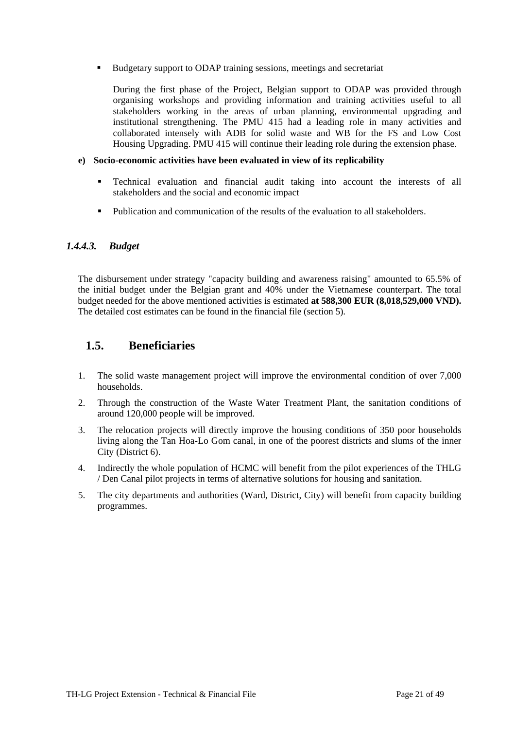<span id="page-20-0"></span>Budgetary support to ODAP training sessions, meetings and secretariat

During the first phase of the Project, Belgian support to ODAP was provided through organising workshops and providing information and training activities useful to all stakeholders working in the areas of urban planning, environmental upgrading and institutional strengthening. The PMU 415 had a leading role in many activities and collaborated intensely with ADB for solid waste and WB for the FS and Low Cost Housing Upgrading. PMU 415 will continue their leading role during the extension phase.

#### **e) Socio-economic activities have been evaluated in view of its replicability**

- Technical evaluation and financial audit taking into account the interests of all stakeholders and the social and economic impact
- Publication and communication of the results of the evaluation to all stakeholders.

#### *1.4.4.3. Budget*

The disbursement under strategy "capacity building and awareness raising" amounted to 65.5% of the initial budget under the Belgian grant and 40% under the Vietnamese counterpart. The total budget needed for the above mentioned activities is estimated **at 588,300 EUR (8,018,529,000 VND).** The detailed cost estimates can be found in the financial file (section 5).

# **1.5. Beneficiaries**

- 1. The solid waste management project will improve the environmental condition of over 7,000 households.
- 2. Through the construction of the Waste Water Treatment Plant, the sanitation conditions of around 120,000 people will be improved.
- 3. The relocation projects will directly improve the housing conditions of 350 poor households living along the Tan Hoa-Lo Gom canal, in one of the poorest districts and slums of the inner City (District 6).
- 4. Indirectly the whole population of HCMC will benefit from the pilot experiences of the THLG / Den Canal pilot projects in terms of alternative solutions for housing and sanitation.
- 5. The city departments and authorities (Ward, District, City) will benefit from capacity building programmes.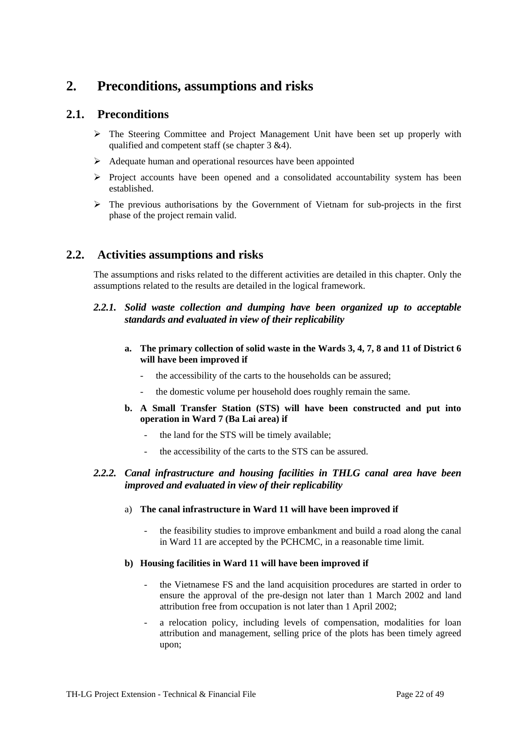# <span id="page-21-0"></span>**2. Preconditions, assumptions and risks**

## **2.1. Preconditions**

- $\triangleright$  The Steering Committee and Project Management Unit have been set up properly with qualified and competent staff (se chapter 3 &4).
- $\triangleright$  Adequate human and operational resources have been appointed
- $\triangleright$  Project accounts have been opened and a consolidated accountability system has been established.
- $\triangleright$  The previous authorisations by the Government of Vietnam for sub-projects in the first phase of the project remain valid.

## **2.2. Activities assumptions and risks**

The assumptions and risks related to the different activities are detailed in this chapter. Only the assumptions related to the results are detailed in the logical framework.

### *2.2.1. Solid waste collection and dumping have been organized up to acceptable standards and evaluated in view of their replicability*

- **a. The primary collection of solid waste in the Wards 3, 4, 7, 8 and 11 of District 6 will have been improved if** 
	- the accessibility of the carts to the households can be assured;
	- the domestic volume per household does roughly remain the same.
- **b. A Small Transfer Station (STS) will have been constructed and put into operation in Ward 7 (Ba Lai area) if** 
	- the land for the STS will be timely available;
	- the accessibility of the carts to the STS can be assured.

### *2.2.2. Canal infrastructure and housing facilities in THLG canal area have been improved and evaluated in view of their replicability*

- a) **The canal infrastructure in Ward 11 will have been improved if**
	- the feasibility studies to improve embankment and build a road along the canal in Ward 11 are accepted by the PCHCMC, in a reasonable time limit.

#### **b) Housing facilities in Ward 11 will have been improved if**

- the Vietnamese FS and the land acquisition procedures are started in order to ensure the approval of the pre-design not later than 1 March 2002 and land attribution free from occupation is not later than 1 April 2002;
- a relocation policy, including levels of compensation, modalities for loan attribution and management, selling price of the plots has been timely agreed upon;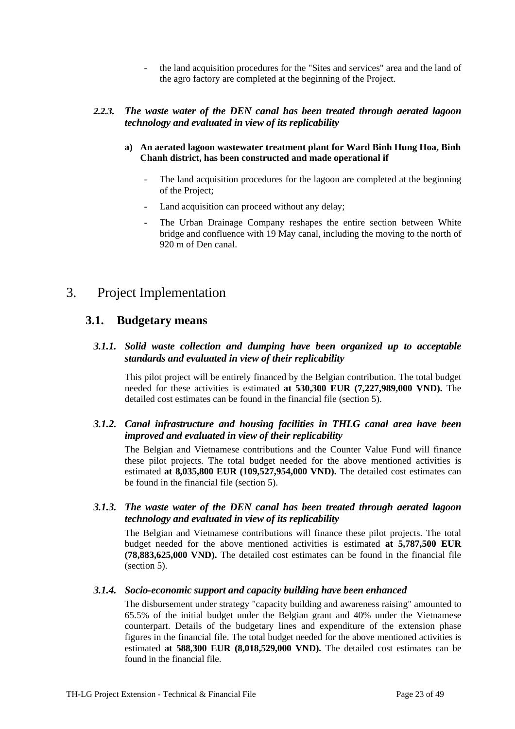- the land acquisition procedures for the "Sites and services" area and the land of the agro factory are completed at the beginning of the Project.

#### <span id="page-22-0"></span>*2.2.3. The waste water of the DEN canal has been treated through aerated lagoon technology and evaluated in view of its replicability*

- **a) An aerated lagoon wastewater treatment plant for Ward Binh Hung Hoa, Binh Chanh district, has been constructed and made operational if** 
	- The land acquisition procedures for the lagoon are completed at the beginning of the Project;
	- Land acquisition can proceed without any delay;
	- The Urban Drainage Company reshapes the entire section between White bridge and confluence with 19 May canal, including the moving to the north of 920 m of Den canal.

# 3. Project Implementation

### **3.1. Budgetary means**

### *3.1.1. Solid waste collection and dumping have been organized up to acceptable standards and evaluated in view of their replicability*

This pilot project will be entirely financed by the Belgian contribution. The total budget needed for these activities is estimated **at 530,300 EUR (7,227,989,000 VND).** The detailed cost estimates can be found in the financial file (section 5).

### *3.1.2. Canal infrastructure and housing facilities in THLG canal area have been improved and evaluated in view of their replicability*

The Belgian and Vietnamese contributions and the Counter Value Fund will finance these pilot projects. The total budget needed for the above mentioned activities is estimated **at 8,035,800 EUR (109,527,954,000 VND).** The detailed cost estimates can be found in the financial file (section 5).

### *3.1.3. The waste water of the DEN canal has been treated through aerated lagoon technology and evaluated in view of its replicability*

The Belgian and Vietnamese contributions will finance these pilot projects. The total budget needed for the above mentioned activities is estimated **at 5,787,500 EUR (78,883,625,000 VND).** The detailed cost estimates can be found in the financial file (section 5).

#### *3.1.4. Socio-economic support and capacity building have been enhanced*

The disbursement under strategy "capacity building and awareness raising" amounted to 65.5% of the initial budget under the Belgian grant and 40% under the Vietnamese counterpart. Details of the budgetary lines and expenditure of the extension phase figures in the financial file. The total budget needed for the above mentioned activities is estimated **at 588,300 EUR (8,018,529,000 VND).** The detailed cost estimates can be found in the financial file.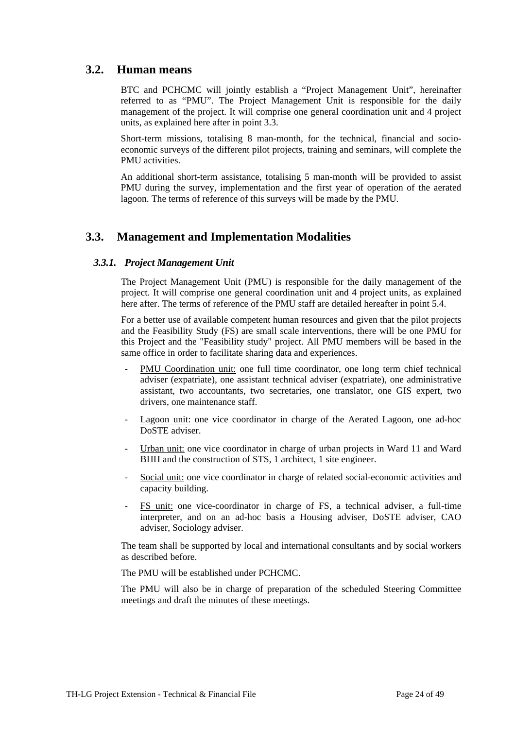### <span id="page-23-0"></span>**3.2. Human means**

BTC and PCHCMC will jointly establish a "Project Management Unit", hereinafter referred to as "PMU". The Project Management Unit is responsible for the daily management of the project. It will comprise one general coordination unit and 4 project units, as explained here after in point 3.3.

Short-term missions, totalising 8 man-month, for the technical, financial and socioeconomic surveys of the different pilot projects, training and seminars, will complete the PMU activities.

An additional short-term assistance, totalising 5 man-month will be provided to assist PMU during the survey, implementation and the first year of operation of the aerated lagoon. The terms of reference of this surveys will be made by the PMU.

## **3.3. Management and Implementation Modalities**

#### *3.3.1. Project Management Unit*

The Project Management Unit (PMU) is responsible for the daily management of the project. It will comprise one general coordination unit and 4 project units, as explained here after. The terms of reference of the PMU staff are detailed hereafter in point 5.4.

For a better use of available competent human resources and given that the pilot projects and the Feasibility Study (FS) are small scale interventions, there will be one PMU for this Project and the "Feasibility study" project. All PMU members will be based in the same office in order to facilitate sharing data and experiences.

- PMU Coordination unit: one full time coordinator, one long term chief technical adviser (expatriate), one assistant technical adviser (expatriate), one administrative assistant, two accountants, two secretaries, one translator, one GIS expert, two drivers, one maintenance staff.
- Lagoon unit: one vice coordinator in charge of the Aerated Lagoon, one ad-hoc DoSTE adviser.
- Urban unit: one vice coordinator in charge of urban projects in Ward 11 and Ward BHH and the construction of STS, 1 architect, 1 site engineer.
- Social unit: one vice coordinator in charge of related social-economic activities and capacity building.
- FS unit: one vice-coordinator in charge of FS, a technical adviser, a full-time interpreter, and on an ad-hoc basis a Housing adviser, DoSTE adviser, CAO adviser, Sociology adviser.

The team shall be supported by local and international consultants and by social workers as described before.

The PMU will be established under PCHCMC.

The PMU will also be in charge of preparation of the scheduled Steering Committee meetings and draft the minutes of these meetings.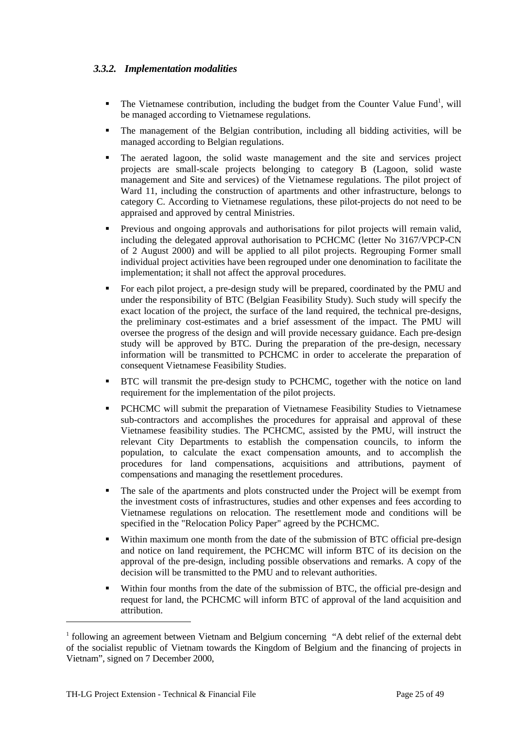### <span id="page-24-0"></span>*3.3.2. Implementation modalities*

- $\blacksquare$  The Vietnamese contribution, including the budget from the Counter Value Fund<sup>[1](#page-24-1)</sup>, will be managed according to Vietnamese regulations.
- The management of the Belgian contribution, including all bidding activities, will be managed according to Belgian regulations.
- The aerated lagoon, the solid waste management and the site and services project projects are small-scale projects belonging to category B (Lagoon, solid waste management and Site and services) of the Vietnamese regulations. The pilot project of Ward 11, including the construction of apartments and other infrastructure, belongs to category C. According to Vietnamese regulations, these pilot-projects do not need to be appraised and approved by central Ministries.
- **Previous and ongoing approvals and authorisations for pilot projects will remain valid,** including the delegated approval authorisation to PCHCMC (letter No 3167/VPCP-CN of 2 August 2000) and will be applied to all pilot projects. Regrouping Former small individual project activities have been regrouped under one denomination to facilitate the implementation; it shall not affect the approval procedures.
- For each pilot project, a pre-design study will be prepared, coordinated by the PMU and under the responsibility of BTC (Belgian Feasibility Study). Such study will specify the exact location of the project, the surface of the land required, the technical pre-designs, the preliminary cost-estimates and a brief assessment of the impact. The PMU will oversee the progress of the design and will provide necessary guidance. Each pre-design study will be approved by BTC. During the preparation of the pre-design, necessary information will be transmitted to PCHCMC in order to accelerate the preparation of consequent Vietnamese Feasibility Studies.
- **BTC** will transmit the pre-design study to PCHCMC, together with the notice on land requirement for the implementation of the pilot projects.
- PCHCMC will submit the preparation of Vietnamese Feasibility Studies to Vietnamese sub-contractors and accomplishes the procedures for appraisal and approval of these Vietnamese feasibility studies. The PCHCMC, assisted by the PMU, will instruct the relevant City Departments to establish the compensation councils, to inform the population, to calculate the exact compensation amounts, and to accomplish the procedures for land compensations, acquisitions and attributions, payment of compensations and managing the resettlement procedures.
- The sale of the apartments and plots constructed under the Project will be exempt from the investment costs of infrastructures, studies and other expenses and fees according to Vietnamese regulations on relocation. The resettlement mode and conditions will be specified in the "Relocation Policy Paper" agreed by the PCHCMC.
- Within maximum one month from the date of the submission of BTC official pre-design and notice on land requirement, the PCHCMC will inform BTC of its decision on the approval of the pre-design, including possible observations and remarks. A copy of the decision will be transmitted to the PMU and to relevant authorities.
- Within four months from the date of the submission of BTC, the official pre-design and request for land, the PCHCMC will inform BTC of approval of the land acquisition and attribution.

 $\overline{a}$ 

<span id="page-24-1"></span><sup>&</sup>lt;sup>1</sup> following an agreement between Vietnam and Belgium concerning "A debt relief of the external debt of the socialist republic of Vietnam towards the Kingdom of Belgium and the financing of projects in Vietnam", signed on 7 December 2000,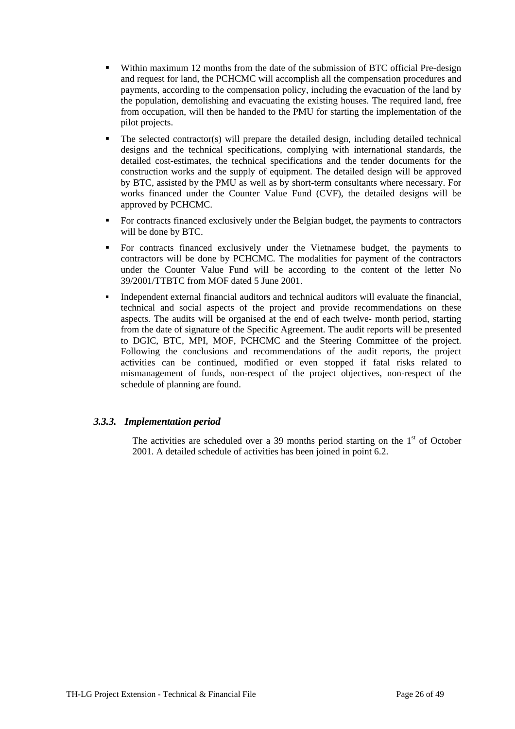- <span id="page-25-0"></span> Within maximum 12 months from the date of the submission of BTC official Pre-design and request for land, the PCHCMC will accomplish all the compensation procedures and payments, according to the compensation policy, including the evacuation of the land by the population, demolishing and evacuating the existing houses. The required land, free from occupation, will then be handed to the PMU for starting the implementation of the pilot projects.
- The selected contractor(s) will prepare the detailed design, including detailed technical designs and the technical specifications, complying with international standards, the detailed cost-estimates, the technical specifications and the tender documents for the construction works and the supply of equipment. The detailed design will be approved by BTC, assisted by the PMU as well as by short-term consultants where necessary. For works financed under the Counter Value Fund (CVF), the detailed designs will be approved by PCHCMC.
- For contracts financed exclusively under the Belgian budget, the payments to contractors will be done by BTC.
- For contracts financed exclusively under the Vietnamese budget, the payments to contractors will be done by PCHCMC. The modalities for payment of the contractors under the Counter Value Fund will be according to the content of the letter No 39/2001/TTBTC from MOF dated 5 June 2001.
- Independent external financial auditors and technical auditors will evaluate the financial, technical and social aspects of the project and provide recommendations on these aspects. The audits will be organised at the end of each twelve- month period, starting from the date of signature of the Specific Agreement. The audit reports will be presented to DGIC, BTC, MPI, MOF, PCHCMC and the Steering Committee of the project. Following the conclusions and recommendations of the audit reports, the project activities can be continued, modified or even stopped if fatal risks related to mismanagement of funds, non-respect of the project objectives, non-respect of the schedule of planning are found.

#### *3.3.3. Implementation period*

The activities are scheduled over a 39 months period starting on the  $1<sup>st</sup>$  of October 2001. A detailed schedule of activities has been joined in point 6.2.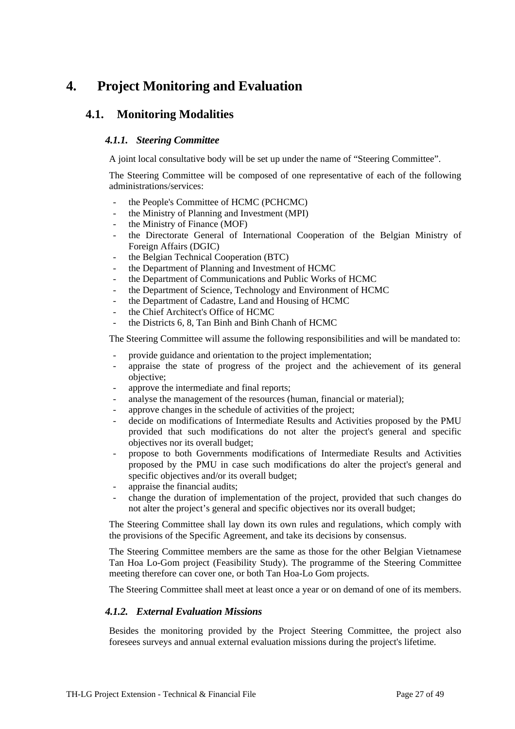# <span id="page-26-0"></span>**4. Project Monitoring and Evaluation**

## **4.1. Monitoring Modalities**

#### *4.1.1. Steering Committee*

A joint local consultative body will be set up under the name of "Steering Committee".

The Steering Committee will be composed of one representative of each of the following administrations/services:

- the People's Committee of HCMC (PCHCMC)
- the Ministry of Planning and Investment (MPI)
- the Ministry of Finance (MOF)
- the Directorate General of International Cooperation of the Belgian Ministry of Foreign Affairs (DGIC)
- the Belgian Technical Cooperation (BTC)
- the Department of Planning and Investment of HCMC
- the Department of Communications and Public Works of HCMC
- the Department of Science, Technology and Environment of HCMC
- the Department of Cadastre, Land and Housing of HCMC
- the Chief Architect's Office of HCMC
- the Districts 6, 8, Tan Binh and Binh Chanh of HCMC

The Steering Committee will assume the following responsibilities and will be mandated to:

- provide guidance and orientation to the project implementation;
- appraise the state of progress of the project and the achievement of its general objective;
- approve the intermediate and final reports;
- analyse the management of the resources (human, financial or material);
- approve changes in the schedule of activities of the project;
- decide on modifications of Intermediate Results and Activities proposed by the PMU provided that such modifications do not alter the project's general and specific objectives nor its overall budget;
- propose to both Governments modifications of Intermediate Results and Activities proposed by the PMU in case such modifications do alter the project's general and specific objectives and/or its overall budget;
- appraise the financial audits;
- change the duration of implementation of the project, provided that such changes do not alter the project's general and specific objectives nor its overall budget;

The Steering Committee shall lay down its own rules and regulations, which comply with the provisions of the Specific Agreement, and take its decisions by consensus.

The Steering Committee members are the same as those for the other Belgian Vietnamese Tan Hoa Lo-Gom project (Feasibility Study). The programme of the Steering Committee meeting therefore can cover one, or both Tan Hoa-Lo Gom projects.

The Steering Committee shall meet at least once a year or on demand of one of its members.

#### *4.1.2. External Evaluation Missions*

Besides the monitoring provided by the Project Steering Committee, the project also foresees surveys and annual external evaluation missions during the project's lifetime.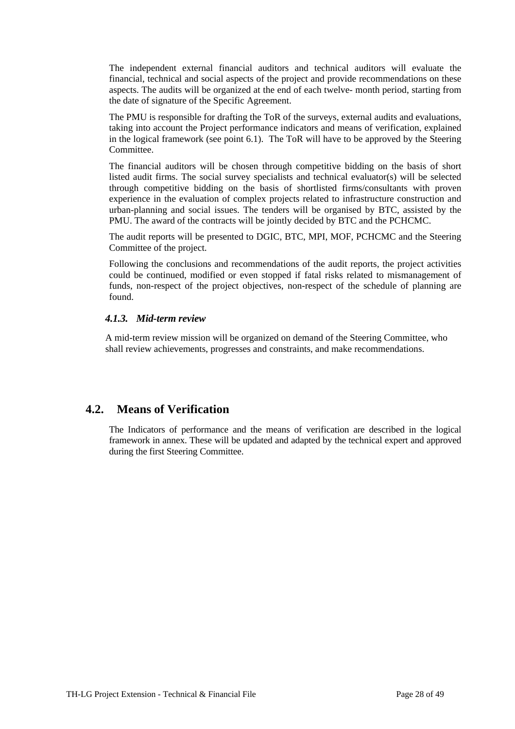<span id="page-27-0"></span>The independent external financial auditors and technical auditors will evaluate the financial, technical and social aspects of the project and provide recommendations on these aspects. The audits will be organized at the end of each twelve- month period, starting from the date of signature of the Specific Agreement.

The PMU is responsible for drafting the ToR of the surveys, external audits and evaluations, taking into account the Project performance indicators and means of verification, explained in the logical framework (see point 6.1). The ToR will have to be approved by the Steering Committee.

The financial auditors will be chosen through competitive bidding on the basis of short listed audit firms. The social survey specialists and technical evaluator(s) will be selected through competitive bidding on the basis of shortlisted firms/consultants with proven experience in the evaluation of complex projects related to infrastructure construction and urban-planning and social issues. The tenders will be organised by BTC, assisted by the PMU. The award of the contracts will be jointly decided by BTC and the PCHCMC.

The audit reports will be presented to DGIC, BTC, MPI, MOF, PCHCMC and the Steering Committee of the project.

Following the conclusions and recommendations of the audit reports, the project activities could be continued, modified or even stopped if fatal risks related to mismanagement of funds, non-respect of the project objectives, non-respect of the schedule of planning are found.

#### *4.1.3. Mid-term review*

A mid-term review mission will be organized on demand of the Steering Committee, who shall review achievements, progresses and constraints, and make recommendations.

## **4.2. Means of Verification**

The Indicators of performance and the means of verification are described in the logical framework in annex. These will be updated and adapted by the technical expert and approved during the first Steering Committee.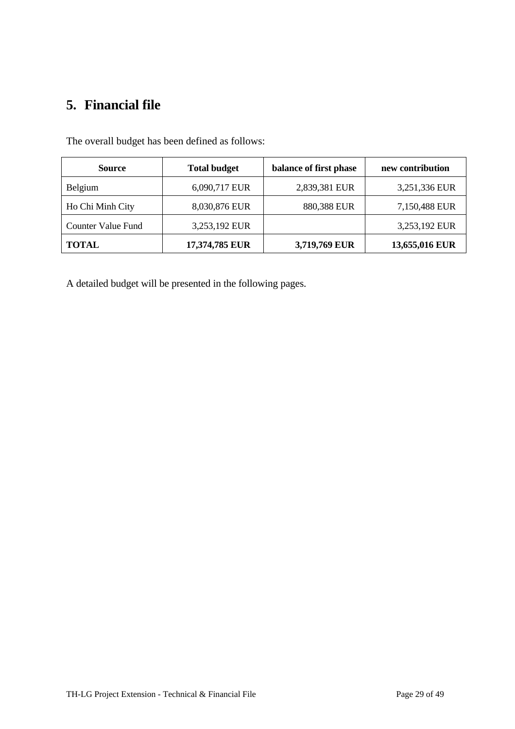# <span id="page-28-0"></span>**5. Financial file**

| <b>Source</b>             | <b>Total budget</b> | balance of first phase | new contribution |
|---------------------------|---------------------|------------------------|------------------|
| Belgium                   | 6,090,717 EUR       | 2,839,381 EUR          | 3,251,336 EUR    |
| Ho Chi Minh City          | 8,030,876 EUR       | 880,388 EUR            | 7,150,488 EUR    |
| <b>Counter Value Fund</b> | 3,253,192 EUR       |                        | 3,253,192 EUR    |
| <b>TOTAL</b>              | 17,374,785 EUR      | 3,719,769 EUR          | 13,655,016 EUR   |

The overall budget has been defined as follows:

A detailed budget will be presented in the following pages.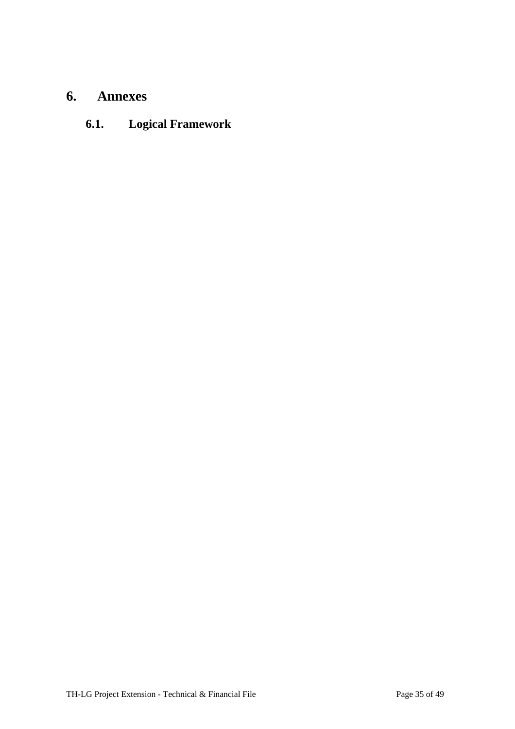# <span id="page-29-0"></span>**6. Annexes**

# **6.1. Logical Framework**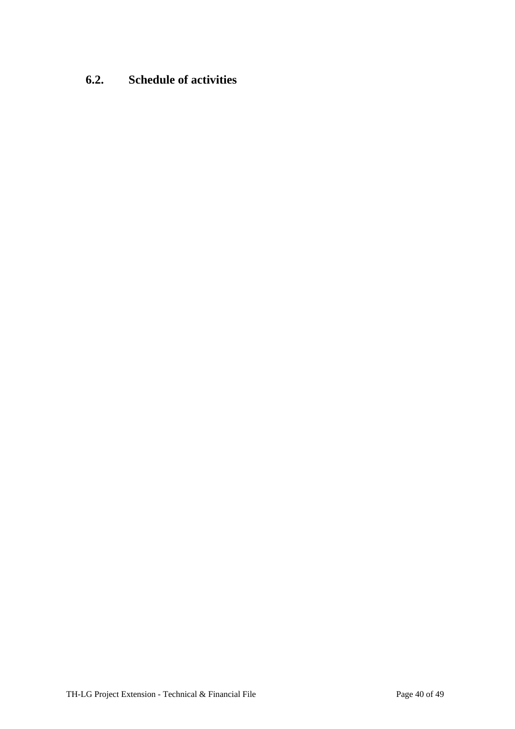# <span id="page-30-0"></span>**6.2. Schedule of activities**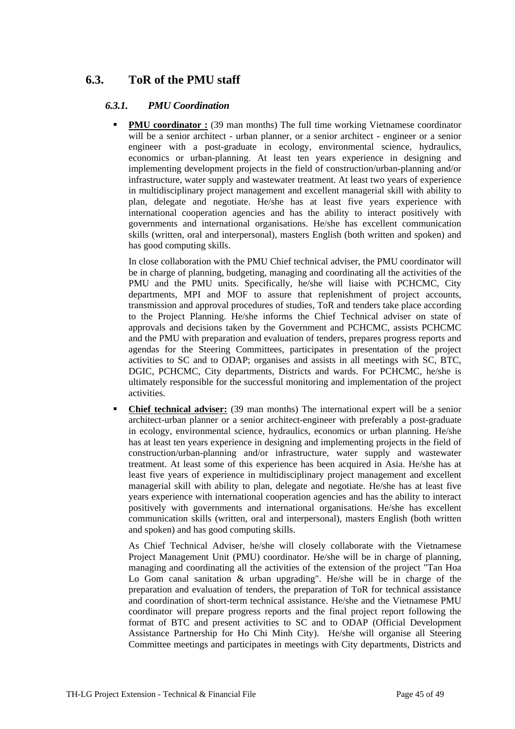# <span id="page-31-0"></span>**6.3. ToR of the PMU staff**

### *6.3.1. PMU Coordination*

**PMU coordinator :** (39 man months) The full time working Vietnamese coordinator will be a senior architect - urban planner, or a senior architect - engineer or a senior engineer with a post-graduate in ecology, environmental science, hydraulics, economics or urban-planning. At least ten years experience in designing and implementing development projects in the field of construction/urban-planning and/or infrastructure, water supply and wastewater treatment. At least two years of experience in multidisciplinary project management and excellent managerial skill with ability to plan, delegate and negotiate. He/she has at least five years experience with international cooperation agencies and has the ability to interact positively with governments and international organisations. He/she has excellent communication skills (written, oral and interpersonal), masters English (both written and spoken) and has good computing skills.

In close collaboration with the PMU Chief technical adviser, the PMU coordinator will be in charge of planning, budgeting, managing and coordinating all the activities of the PMU and the PMU units. Specifically, he/she will liaise with PCHCMC, City departments, MPI and MOF to assure that replenishment of project accounts, transmission and approval procedures of studies, ToR and tenders take place according to the Project Planning. He/she informs the Chief Technical adviser on state of approvals and decisions taken by the Government and PCHCMC, assists PCHCMC and the PMU with preparation and evaluation of tenders, prepares progress reports and agendas for the Steering Committees, participates in presentation of the project activities to SC and to ODAP; organises and assists in all meetings with SC, BTC, DGIC, PCHCMC, City departments, Districts and wards. For PCHCMC, he/she is ultimately responsible for the successful monitoring and implementation of the project activities.

 **Chief technical adviser:** (39 man months) The international expert will be a senior architect-urban planner or a senior architect-engineer with preferably a post-graduate in ecology, environmental science, hydraulics, economics or urban planning. He/she has at least ten years experience in designing and implementing projects in the field of construction/urban-planning and/or infrastructure, water supply and wastewater treatment. At least some of this experience has been acquired in Asia. He/she has at least five years of experience in multidisciplinary project management and excellent managerial skill with ability to plan, delegate and negotiate. He/she has at least five years experience with international cooperation agencies and has the ability to interact positively with governments and international organisations. He/she has excellent communication skills (written, oral and interpersonal), masters English (both written and spoken) and has good computing skills.

As Chief Technical Adviser, he/she will closely collaborate with the Vietnamese Project Management Unit (PMU) coordinator. He/she will be in charge of planning, managing and coordinating all the activities of the extension of the project "Tan Hoa Lo Gom canal sanitation  $\&$  urban upgrading". He/she will be in charge of the preparation and evaluation of tenders, the preparation of ToR for technical assistance and coordination of short-term technical assistance. He/she and the Vietnamese PMU coordinator will prepare progress reports and the final project report following the format of BTC and present activities to SC and to ODAP (Official Development Assistance Partnership for Ho Chi Minh City). He/she will organise all Steering Committee meetings and participates in meetings with City departments, Districts and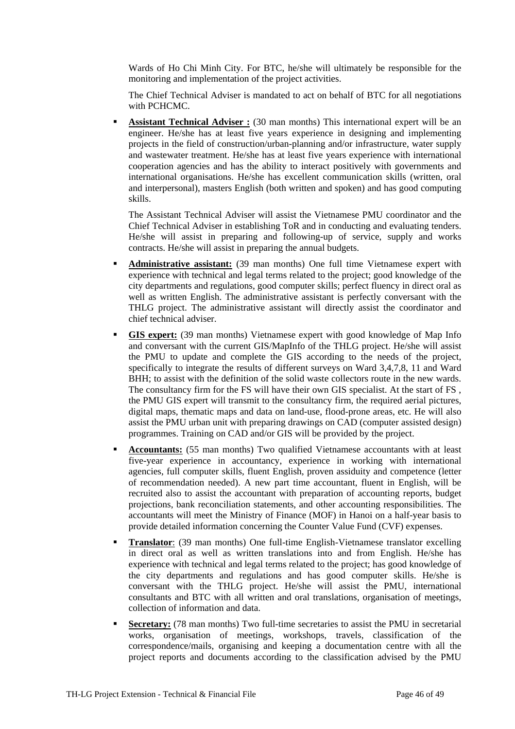Wards of Ho Chi Minh City. For BTC, he/she will ultimately be responsible for the monitoring and implementation of the project activities.

The Chief Technical Adviser is mandated to act on behalf of BTC for all negotiations with PCHCMC.

 **Assistant Technical Adviser :** (30 man months) This international expert will be an engineer. He/she has at least five years experience in designing and implementing projects in the field of construction/urban-planning and/or infrastructure, water supply and wastewater treatment. He/she has at least five years experience with international cooperation agencies and has the ability to interact positively with governments and international organisations. He/she has excellent communication skills (written, oral and interpersonal), masters English (both written and spoken) and has good computing skills.

The Assistant Technical Adviser will assist the Vietnamese PMU coordinator and the Chief Technical Adviser in establishing ToR and in conducting and evaluating tenders. He/she will assist in preparing and following-up of service, supply and works contracts. He/she will assist in preparing the annual budgets.

- **Administrative assistant:** (39 man months) One full time Vietnamese expert with experience with technical and legal terms related to the project; good knowledge of the city departments and regulations, good computer skills; perfect fluency in direct oral as well as written English. The administrative assistant is perfectly conversant with the THLG project. The administrative assistant will directly assist the coordinator and chief technical adviser.
- **GIS expert:** (39 man months) Vietnamese expert with good knowledge of Map Info and conversant with the current GIS/MapInfo of the THLG project. He/she will assist the PMU to update and complete the GIS according to the needs of the project, specifically to integrate the results of different surveys on Ward 3,4,7,8, 11 and Ward BHH; to assist with the definition of the solid waste collectors route in the new wards. The consultancy firm for the FS will have their own GIS specialist. At the start of FS , the PMU GIS expert will transmit to the consultancy firm, the required aerial pictures, digital maps, thematic maps and data on land-use, flood-prone areas, etc. He will also assist the PMU urban unit with preparing drawings on CAD (computer assisted design) programmes. Training on CAD and/or GIS will be provided by the project.
- **Accountants:** (55 man months) Two qualified Vietnamese accountants with at least five-year experience in accountancy, experience in working with international agencies, full computer skills, fluent English, proven assiduity and competence (letter of recommendation needed). A new part time accountant, fluent in English, will be recruited also to assist the accountant with preparation of accounting reports, budget projections, bank reconciliation statements, and other accounting responsibilities. The accountants will meet the Ministry of Finance (MOF) in Hanoi on a half-year basis to provide detailed information concerning the Counter Value Fund (CVF) expenses.
- **Translator**: (39 man months) One full-time English-Vietnamese translator excelling in direct oral as well as written translations into and from English. He/she has experience with technical and legal terms related to the project; has good knowledge of the city departments and regulations and has good computer skills. He/she is conversant with the THLG project. He/she will assist the PMU, international consultants and BTC with all written and oral translations, organisation of meetings, collection of information and data.
- **Secretary:** (78 man months) Two full-time secretaries to assist the PMU in secretarial works, organisation of meetings, workshops, travels, classification of the correspondence/mails, organising and keeping a documentation centre with all the project reports and documents according to the classification advised by the PMU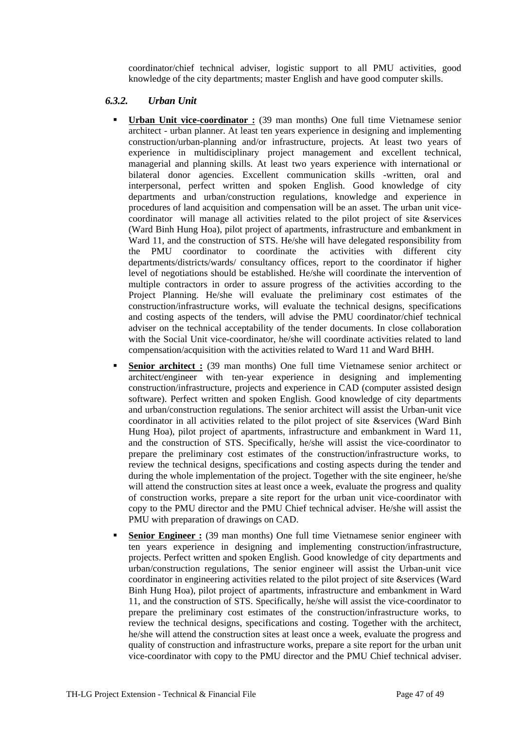coordinator/chief technical adviser, logistic support to all PMU activities, good knowledge of the city departments; master English and have good computer skills.

#### <span id="page-33-0"></span>*6.3.2. Urban Unit*

- **Urban Unit vice-coordinator :** (39 man months) One full time Vietnamese senior architect - urban planner. At least ten years experience in designing and implementing construction/urban-planning and/or infrastructure, projects. At least two years of experience in multidisciplinary project management and excellent technical, managerial and planning skills. At least two years experience with international or bilateral donor agencies. Excellent communication skills -written, oral and interpersonal, perfect written and spoken English. Good knowledge of city departments and urban/construction regulations, knowledge and experience in procedures of land acquisition and compensation will be an asset. The urban unit vicecoordinator will manage all activities related to the pilot project of site &services (Ward Binh Hung Hoa), pilot project of apartments, infrastructure and embankment in Ward 11, and the construction of STS. He/she will have delegated responsibility from the PMU coordinator to coordinate the activities with different city departments/districts/wards/ consultancy offices, report to the coordinator if higher level of negotiations should be established. He/she will coordinate the intervention of multiple contractors in order to assure progress of the activities according to the Project Planning. He/she will evaluate the preliminary cost estimates of the construction/infrastructure works, will evaluate the technical designs, specifications and costing aspects of the tenders, will advise the PMU coordinator/chief technical adviser on the technical acceptability of the tender documents. In close collaboration with the Social Unit vice-coordinator, he/she will coordinate activities related to land compensation/acquisition with the activities related to Ward 11 and Ward BHH.
- Senior architect : (39 man months) One full time Vietnamese senior architect or architect/engineer with ten-year experience in designing and implementing construction/infrastructure, projects and experience in CAD (computer assisted design software). Perfect written and spoken English. Good knowledge of city departments and urban/construction regulations. The senior architect will assist the Urban-unit vice coordinator in all activities related to the pilot project of site &services (Ward Binh Hung Hoa), pilot project of apartments, infrastructure and embankment in Ward 11, and the construction of STS. Specifically, he/she will assist the vice-coordinator to prepare the preliminary cost estimates of the construction/infrastructure works, to review the technical designs, specifications and costing aspects during the tender and during the whole implementation of the project. Together with the site engineer, he/she will attend the construction sites at least once a week, evaluate the progress and quality of construction works, prepare a site report for the urban unit vice-coordinator with copy to the PMU director and the PMU Chief technical adviser. He/she will assist the PMU with preparation of drawings on CAD.
- **Senior Engineer :** (39 man months) One full time Vietnamese senior engineer with ten years experience in designing and implementing construction/infrastructure, projects. Perfect written and spoken English. Good knowledge of city departments and urban/construction regulations, The senior engineer will assist the Urban-unit vice coordinator in engineering activities related to the pilot project of site &services (Ward Binh Hung Hoa), pilot project of apartments, infrastructure and embankment in Ward 11, and the construction of STS. Specifically, he/she will assist the vice-coordinator to prepare the preliminary cost estimates of the construction/infrastructure works, to review the technical designs, specifications and costing. Together with the architect, he/she will attend the construction sites at least once a week, evaluate the progress and quality of construction and infrastructure works, prepare a site report for the urban unit vice-coordinator with copy to the PMU director and the PMU Chief technical adviser.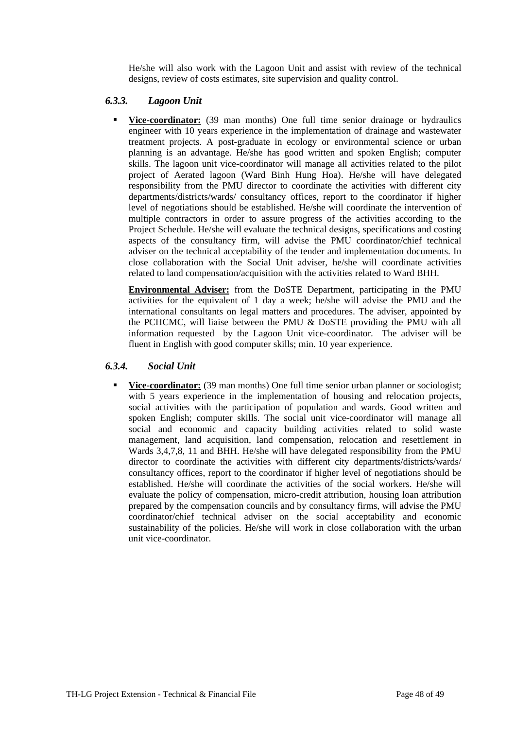He/she will also work with the Lagoon Unit and assist with review of the technical designs, review of costs estimates, site supervision and quality control.

#### <span id="page-34-0"></span>*6.3.3. Lagoon Unit*

 **Vice-coordinator:** (39 man months) One full time senior drainage or hydraulics engineer with 10 years experience in the implementation of drainage and wastewater treatment projects. A post-graduate in ecology or environmental science or urban planning is an advantage. He/she has good written and spoken English; computer skills. The lagoon unit vice-coordinator will manage all activities related to the pilot project of Aerated lagoon (Ward Binh Hung Hoa). He/she will have delegated responsibility from the PMU director to coordinate the activities with different city departments/districts/wards/ consultancy offices, report to the coordinator if higher level of negotiations should be established. He/she will coordinate the intervention of multiple contractors in order to assure progress of the activities according to the Project Schedule. He/she will evaluate the technical designs, specifications and costing aspects of the consultancy firm, will advise the PMU coordinator/chief technical adviser on the technical acceptability of the tender and implementation documents. In close collaboration with the Social Unit adviser, he/she will coordinate activities related to land compensation/acquisition with the activities related to Ward BHH.

**Environmental Adviser:** from the DoSTE Department, participating in the PMU activities for the equivalent of 1 day a week; he/she will advise the PMU and the international consultants on legal matters and procedures. The adviser, appointed by the PCHCMC, will liaise between the PMU & DoSTE providing the PMU with all information requested by the Lagoon Unit vice-coordinator. The adviser will be fluent in English with good computer skills; min. 10 year experience.

#### *6.3.4. Social Unit*

**Vice-coordinator:** (39 man months) One full time senior urban planner or sociologist; with 5 years experience in the implementation of housing and relocation projects, social activities with the participation of population and wards. Good written and spoken English; computer skills. The social unit vice-coordinator will manage all social and economic and capacity building activities related to solid waste management, land acquisition, land compensation, relocation and resettlement in Wards 3,4,7,8, 11 and BHH. He/she will have delegated responsibility from the PMU director to coordinate the activities with different city departments/districts/wards/ consultancy offices, report to the coordinator if higher level of negotiations should be established. He/she will coordinate the activities of the social workers. He/she will evaluate the policy of compensation, micro-credit attribution, housing loan attribution prepared by the compensation councils and by consultancy firms, will advise the PMU coordinator/chief technical adviser on the social acceptability and economic sustainability of the policies. He/she will work in close collaboration with the urban unit vice-coordinator.